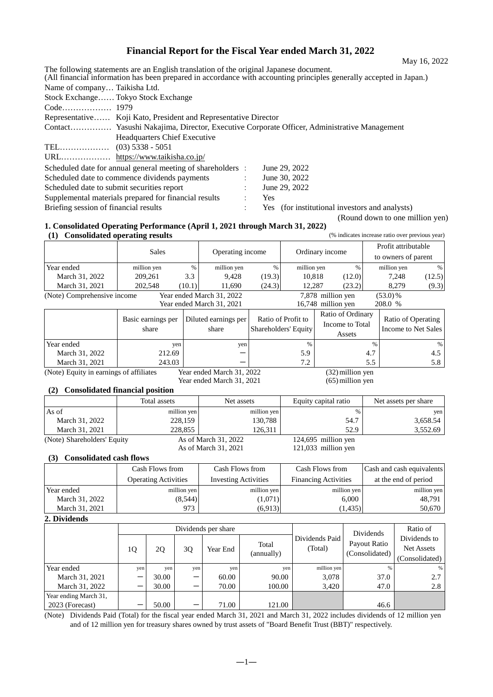# **Financial Report for the Fiscal Year ended March 31, 2022**

The following statements are an English translation of the original Japanese document. (All financial information has been prepared in accordance with accounting principles generally accepted in Japan.) Name of company… Taikisha Ltd. Stock Exchange…… Tokyo Stock Exchange Code……………… 1979 Representative…… Koji Kato, President and Representative Director Contact…………… Yasushi Nakajima, Director, Executive Corporate Officer, Administrative Management Headquarters Chief Executive TEL……………… (03) 5338 - 5051 URL……………… https://www.taikisha.co.jp/ Scheduled date for annual general meeting of shareholders : June 29, 2022 Scheduled date to commence dividends payments : June 30, 2022 Scheduled date to submit securities report : June 29, 2022 Supplemental materials prepared for financial results : Yes Briefing session of financial results  $\cdot$  Yes (for institutional investors and analysts)

(Round down to one million yen)

### **1. Consolidated Operating Performance (April 1, 2021 through March 31, 2022) (1) Consolidated operating results** (% indicates increase ratio over previous year)

| 1 L J                       | Consondance operating results |        |                           |        |                    |        | $\sim$ mandato mercuse ratio over previous year |               |
|-----------------------------|-------------------------------|--------|---------------------------|--------|--------------------|--------|-------------------------------------------------|---------------|
|                             | <b>Sales</b>                  |        | Operating income          |        |                    |        | Profit attributable                             |               |
|                             |                               |        |                           |        | Ordinary income    |        | to owners of parent                             |               |
| Year ended                  | million yen                   | %      | million yen               | %      | million yen        | $\%$   | million yen                                     | $\frac{0}{0}$ |
| March 31, 2022              | 209.261                       | 3.3    | 9.428                     | (19.3) | 10.818             | (12.0) | 7.248                                           | (12.5)        |
| March 31, 2021              | 202,548                       | (10.1) | 11.690                    | (24.3) | 12.287             | (23.2) | 8.279                                           | (9.3)         |
| (Note) Comprehensive income |                               |        | Year ended March 31, 2022 |        | 7,878 million yen  |        | $(53.0)\%$                                      |               |
|                             |                               |        | Year ended March 31, 2021 |        | 16,748 million yen |        | 208.0 %                                         |               |

|                | Basic earnings per<br>share | Diluted earnings per<br>share | Ratio of Profit to<br>Shareholders' Equity | Ratio of Ordinary<br>Income to Total<br>Assets | Ratio of Operating<br>Income to Net Sales |
|----------------|-----------------------------|-------------------------------|--------------------------------------------|------------------------------------------------|-------------------------------------------|
| Year ended     | yen                         | yen                           | $\frac{0}{6}$                              | 0/2                                            | %                                         |
| March 31, 2022 | 212.69                      |                               | 5.9                                        | 4.7                                            | 4.5                                       |
| March 31, 2021 | 243.03                      |                               | 7.2                                        |                                                | 5.8                                       |

(Note) Equity in earnings of affiliates Year ended March 31, 2022 (32) million yen<br>Year ended March 31, 2021 (65) million yen

Year ended March 31, 2021

### **(2) Consolidated financial position**

|                             | Total assets | Net assets           | Equity capital ratio  | Net assets per share |
|-----------------------------|--------------|----------------------|-----------------------|----------------------|
| As of                       | million yen  | million yen          | $\frac{0}{0}$         | yen                  |
| March 31, 2022              | 228,159      | 130,788              | 54.7                  | 3,658.54             |
| March 31, 2021              | 228,855      | 126.311              | 52.9                  | 3,552.69             |
| (Note) Shareholders' Equity |              | As of March 31, 2022 | $124,695$ million yen |                      |
|                             |              | As of March 31, 2021 | $121,033$ million yen |                      |

### **(3) Consolidated cash flows**

|                | Cash Flows from             | Cash Flows from             | Cash Flows from             | Cash and cash equivalents |
|----------------|-----------------------------|-----------------------------|-----------------------------|---------------------------|
|                | <b>Operating Activities</b> | <b>Investing Activities</b> | <b>Financing Activities</b> | at the end of period      |
| Year ended     | million yen                 | million yen                 | million yen                 | million yen               |
| March 31, 2022 | (8,544)                     | (1,071)                     | 6.000                       | 48.791                    |
| March 31, 2021 | 973                         | (6,913)                     | (1, 435)                    | 50,670                    |

#### **2. Dividends**

| -----------           |      |       |     |                     |                     |                           |                                |                                                     |
|-----------------------|------|-------|-----|---------------------|---------------------|---------------------------|--------------------------------|-----------------------------------------------------|
|                       |      |       |     | Dividends per share |                     |                           | Dividends                      | Ratio of                                            |
|                       | 1Q   | 2Q    | 3Q  | Year End            | Total<br>(annually) | Dividends Paid<br>(Total) | Payout Ratio<br>(Consolidated) | Dividends to<br><b>Net Assets</b><br>(Consolidated) |
| Year ended            | yen. | yen   | yen | yen                 | yen                 | million yen               | $\frac{0}{6}$                  | %                                                   |
| March 31, 2021        |      | 30.00 | —   | 60.00               | 90.00               | 3,078                     | 37.0                           | 2.7                                                 |
| March 31, 2022        |      | 30.00 | —   | 70.00               | 100.00              | 3,420                     | 47.0                           | 2.8                                                 |
| Year ending March 31, |      |       |     |                     |                     |                           |                                |                                                     |
| 2023 (Forecast)       |      | 50.00 | –   | 71.00               | 121.00              |                           | 46.6                           |                                                     |

(Note) Dividends Paid (Total) for the fiscal year ended March 31, 2021 and March 31, 2022 includes dividends of 12 million yen and of 12 million yen for treasury shares owned by trust assets of "Board Benefit Trust (BBT)" respectively.

May 16, 2022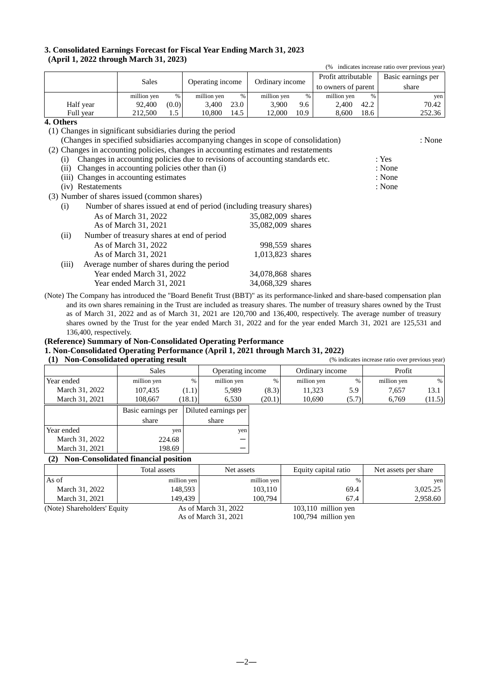### **3. Consolidated Earnings Forecast for Fiscal Year Ending March 31, 2023 (April 1, 2022 through March 31, 2023)**

|                                                                                      |                                                                              |       |             |                                     |                   |      |                     |      | (% indicates increase ratio over previous year) |     |
|--------------------------------------------------------------------------------------|------------------------------------------------------------------------------|-------|-------------|-------------------------------------|-------------------|------|---------------------|------|-------------------------------------------------|-----|
|                                                                                      |                                                                              |       |             | Profit attributable                 |                   |      |                     |      | Basic earnings per                              |     |
|                                                                                      | <b>Sales</b>                                                                 |       |             | Operating income<br>Ordinary income |                   |      | to owners of parent |      | share                                           |     |
|                                                                                      | million yen                                                                  | $\%$  | million yen | $\%$                                | million yen       | $\%$ | million yen         | $\%$ |                                                 | yen |
| Half year                                                                            | 92,400                                                                       | (0.0) | 3,400       | 23.0                                | 3,900             | 9.6  | 2,400               | 42.2 | 70.42                                           |     |
| Full year                                                                            | 212,500                                                                      | 1.5   | 10,800      | 14.5                                | 12,000            | 10.9 | 8,600               | 18.6 | 252.36                                          |     |
| 4. Others                                                                            |                                                                              |       |             |                                     |                   |      |                     |      |                                                 |     |
| (1) Changes in significant subsidiaries during the period                            |                                                                              |       |             |                                     |                   |      |                     |      |                                                 |     |
| (Changes in specified subsidiaries accompanying changes in scope of consolidation)   |                                                                              |       |             |                                     |                   |      |                     |      | : None                                          |     |
| (2) Changes in accounting policies, changes in accounting estimates and restatements |                                                                              |       |             |                                     |                   |      |                     |      |                                                 |     |
| (i)                                                                                  | Changes in accounting policies due to revisions of accounting standards etc. |       |             |                                     |                   |      |                     |      | : Yes                                           |     |
| (ii)                                                                                 | Changes in accounting policies other than (i)                                |       |             |                                     |                   |      |                     |      | : None                                          |     |
| (iii)                                                                                | Changes in accounting estimates                                              |       |             |                                     |                   |      |                     |      | : None                                          |     |
| (iv) Restatements                                                                    |                                                                              |       |             |                                     |                   |      |                     |      | : None                                          |     |
| (3) Number of shares issued (common shares)                                          |                                                                              |       |             |                                     |                   |      |                     |      |                                                 |     |
| (i)                                                                                  | Number of shares issued at end of period (including treasury shares)         |       |             |                                     |                   |      |                     |      |                                                 |     |
|                                                                                      | As of March 31, 2022                                                         |       |             |                                     | 35,082,009 shares |      |                     |      |                                                 |     |
|                                                                                      | As of March 31, 2021                                                         |       |             |                                     | 35,082,009 shares |      |                     |      |                                                 |     |
| (ii)                                                                                 | Number of treasury shares at end of period                                   |       |             |                                     |                   |      |                     |      |                                                 |     |
|                                                                                      | As of March 31, 2022                                                         |       |             |                                     | 998,559 shares    |      |                     |      |                                                 |     |
|                                                                                      | As of March 31, 2021                                                         |       |             |                                     | 1,013,823 shares  |      |                     |      |                                                 |     |

- (iii) Average number of shares during the period Year ended March 31, 2022 34,078,868 shares Year ended March 31, 2021 34,068,329 shares (Note) The Company has introduced the "Board Benefit Trust (BBT)" as its performance-linked and share-based compensation plan
- and its own shares remaining in the Trust are included as treasury shares. The number of treasury shares owned by the Trust as of March 31, 2022 and as of March 31, 2021 are 120,700 and 136,400, respectively. The average number of treasury shares owned by the Trust for the year ended March 31, 2022 and for the year ended March 31, 2021 are 125,531 and 136,400, respectively.

# **(Reference) Summary of Non-Consolidated Operating Performance**

# **1. Non-Consolidated Operating Performance (April 1, 2021 through March 31, 2022)**

| (1) Non-Consolidated operating re |
|-----------------------------------|
|-----------------------------------|

| (1)            | <b>Non-Consolidated operating result</b> |        |                      |        |                 | (% indicates increase ratio over previous year) |             |        |
|----------------|------------------------------------------|--------|----------------------|--------|-----------------|-------------------------------------------------|-------------|--------|
|                | <b>Sales</b>                             |        | Operating income     |        | Ordinary income |                                                 | Profit      |        |
| Year ended     | million yen                              | %      | million yen          | $\%$   | million yen     | $\frac{0}{6}$                                   | million yen | %      |
| March 31, 2022 | 107,435                                  | (1.1)  | 5,989                | (8.3)  | 11,323          | 5.9                                             | 7,657       | 13.1   |
| March 31, 2021 | 108.667                                  | (18.1) | 6,530                | (20.1) | 10,690          | (5.7)                                           | 6,769       | (11.5) |
|                | Basic earnings per                       |        | Diluted earnings per |        |                 |                                                 |             |        |
|                | share                                    |        | share                |        |                 |                                                 |             |        |
| Year ended     | yen                                      |        | yen                  |        |                 |                                                 |             |        |
| March 31, 2022 | 224.68                                   |        |                      |        |                 |                                                 |             |        |
| March 31, 2021 | 198.69                                   |        |                      |        |                 |                                                 |             |        |

# **(2) Non-Consolidated financial position**

|                             | Total assets | Net assets           | Equity capital ratio  | Net assets per share |
|-----------------------------|--------------|----------------------|-----------------------|----------------------|
| As of                       | million yen  | million yen          |                       | yen                  |
| March 31, 2022              | 148.593      | 103,110              | 69.4                  | 3,025.25             |
| March 31, 2021              | 149.439      | 100,794              | 67.4                  | 2,958.60             |
| (Note) Shareholders' Equity |              | As of March 31, 2022 | $103,110$ million yen |                      |

As of March 31, 2021 100,794 million yen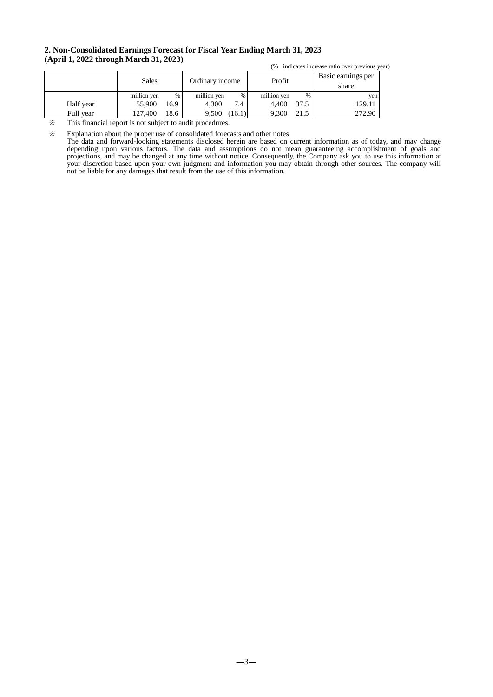### **2. Non-Consolidated Earnings Forecast for Fiscal Year Ending March 31, 2023 (April 1, 2022 through March 31, 2023)**

|           |              | (%   |                 | indicates increase ratio over previous year) |             |      |                             |
|-----------|--------------|------|-----------------|----------------------------------------------|-------------|------|-----------------------------|
|           | <b>Sales</b> |      | Ordinary income |                                              | Profit      |      | Basic earnings per<br>share |
|           | million yen  | %    | million yen     | $\%$                                         | million yen | %    | yen                         |
| Half year | 55,900       | 16.9 | 4.300           | 7.4                                          | 4.400       | 37.5 | 129.11                      |
| Full year | 127.400      | 18.6 | 9,500           | (16.1)                                       | 9.300       | 21.5 | 272.90                      |

※ This financial report is not subject to audit procedures.

※ Explanation about the proper use of consolidated forecasts and other notes

The data and forward-looking statements disclosed herein are based on current information as of today, and may change depending upon various factors. The data and assumptions do not mean guaranteeing accomplishment of goals and projections, and may be changed at any time without notice. Consequently, the Company ask you to use this information at your discretion based upon your own judgment and information you may obtain through other sources. The company will not be liable for any damages that result from the use of this information.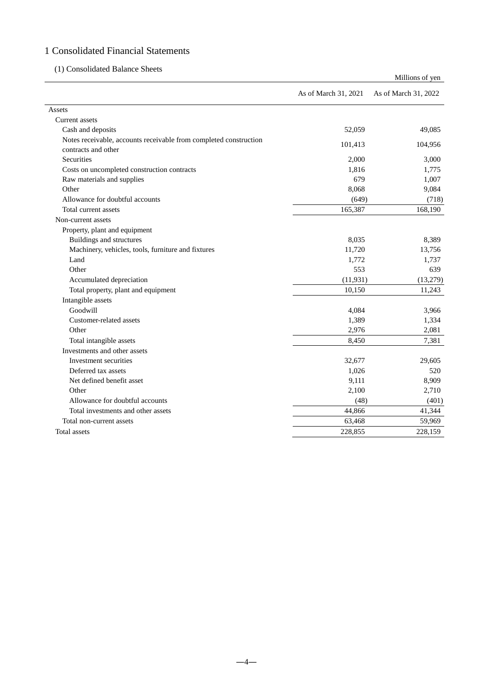# 1 Consolidated Financial Statements

# (1) Consolidated Balance Sheets

|                                                                                          |                      | Millions of yen      |
|------------------------------------------------------------------------------------------|----------------------|----------------------|
|                                                                                          | As of March 31, 2021 | As of March 31, 2022 |
| Assets                                                                                   |                      |                      |
| Current assets                                                                           |                      |                      |
| Cash and deposits                                                                        | 52,059               | 49,085               |
| Notes receivable, accounts receivable from completed construction<br>contracts and other | 101,413              | 104,956              |
| Securities                                                                               | 2,000                | 3,000                |
| Costs on uncompleted construction contracts                                              | 1,816                | 1,775                |
| Raw materials and supplies                                                               | 679                  | 1,007                |
| Other                                                                                    | 8,068                | 9,084                |
| Allowance for doubtful accounts                                                          | (649)                | (718)                |
| Total current assets                                                                     | 165,387              | 168,190              |
| Non-current assets                                                                       |                      |                      |
| Property, plant and equipment                                                            |                      |                      |
| Buildings and structures                                                                 | 8,035                | 8,389                |
| Machinery, vehicles, tools, furniture and fixtures                                       | 11,720               | 13,756               |
| Land                                                                                     | 1,772                | 1,737                |
| Other                                                                                    | 553                  | 639                  |
| Accumulated depreciation                                                                 | (11, 931)            | (13,279)             |
| Total property, plant and equipment                                                      | 10,150               | 11,243               |
| Intangible assets                                                                        |                      |                      |
| Goodwill                                                                                 | 4,084                | 3,966                |
| Customer-related assets                                                                  | 1,389                | 1,334                |
| Other                                                                                    | 2,976                | 2,081                |
| Total intangible assets                                                                  | 8,450                | 7,381                |
| Investments and other assets                                                             |                      |                      |
| Investment securities                                                                    | 32,677               | 29,605               |
| Deferred tax assets                                                                      | 1,026                | 520                  |
| Net defined benefit asset                                                                | 9,111                | 8,909                |
| Other                                                                                    | 2,100                | 2,710                |
| Allowance for doubtful accounts                                                          | (48)                 | (401)                |
| Total investments and other assets                                                       | 44,866               | 41,344               |
| Total non-current assets                                                                 | 63,468               | 59,969               |
| Total assets                                                                             | 228,855              | 228,159              |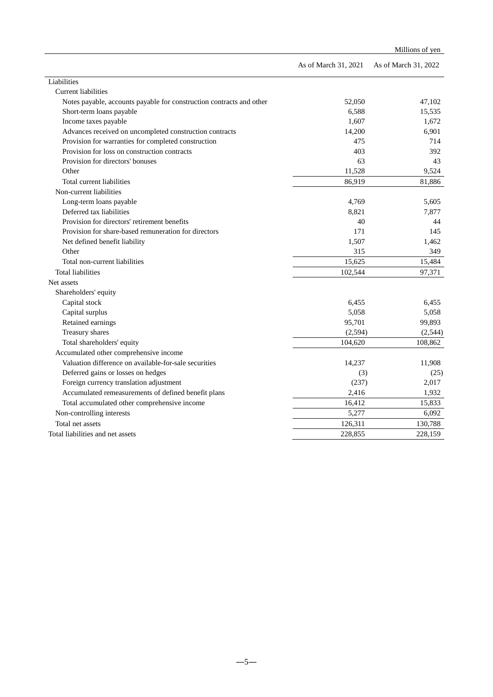|                                                                      |                      | Millions of yen      |
|----------------------------------------------------------------------|----------------------|----------------------|
|                                                                      | As of March 31, 2021 | As of March 31, 2022 |
| Liabilities                                                          |                      |                      |
| <b>Current liabilities</b>                                           |                      |                      |
| Notes payable, accounts payable for construction contracts and other | 52,050               | 47,102               |
| Short-term loans payable                                             | 6,588                | 15,535               |
| Income taxes payable                                                 | 1.607                | 1.672                |
| Advances received on uncompleted construction contracts              | 14,200               | 6,901                |
| Provision for warranties for completed construction                  | 475                  | 714                  |
| Provision for loss on construction contracts                         | 403                  | 392                  |
| Provision for directors' bonuses                                     | 63                   | 43                   |
| Other                                                                | 11,528               | 9,524                |
| Total current liabilities                                            | 86,919               | 81,886               |
| Non-current liabilities                                              |                      |                      |
| Long-term loans payable                                              | 4,769                | 5,605                |
| Deferred tax liabilities                                             | 8,821                | 7,877                |
| Provision for directors' retirement benefits                         | 40                   | 44                   |
| Provision for share-based remuneration for directors                 | 171                  | 145                  |
| Net defined benefit liability                                        | 1,507                | 1,462                |
| Other                                                                | 315                  | 349                  |
| Total non-current liabilities                                        | 15,625               | 15,484               |
| <b>Total liabilities</b>                                             | 102,544              | 97,371               |
| Net assets                                                           |                      |                      |
| Shareholders' equity                                                 |                      |                      |
| Capital stock                                                        | 6,455                | 6,455                |
| Capital surplus                                                      | 5,058                | 5,058                |
| Retained earnings                                                    | 95,701               | 99,893               |
| Treasury shares                                                      | (2, 594)             | (2, 544)             |
| Total shareholders' equity                                           | 104,620              | 108,862              |
| Accumulated other comprehensive income                               |                      |                      |
| Valuation difference on available-for-sale securities                | 14,237               | 11,908               |
| Deferred gains or losses on hedges                                   | (3)                  | (25)                 |
| Foreign currency translation adjustment                              | (237)                | 2,017                |
| Accumulated remeasurements of defined benefit plans                  | 2,416                | 1,932                |
| Total accumulated other comprehensive income                         | 16,412               | 15,833               |
| Non-controlling interests                                            | 5,277                | 6,092                |
| Total net assets                                                     | 126,311              | 130,788              |
| Total liabilities and net assets                                     | 228,855              | 228,159              |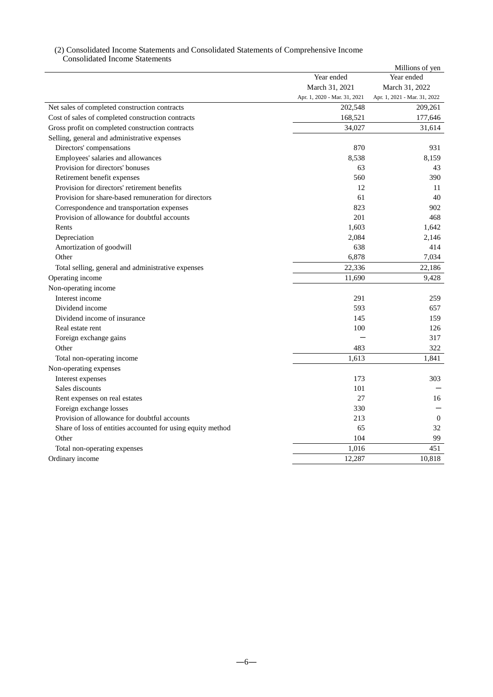### (2) Consolidated Income Statements and Consolidated Statements of Comprehensive Income Consolidated Income Statements

|                                                             |                              | Millions of yen              |
|-------------------------------------------------------------|------------------------------|------------------------------|
|                                                             | Year ended                   | Year ended                   |
|                                                             | March 31, 2021               | March 31, 2022               |
|                                                             | Apr. 1, 2020 - Mar. 31, 2021 | Apr. 1, 2021 - Mar. 31, 2022 |
| Net sales of completed construction contracts               | 202,548                      | 209,261                      |
| Cost of sales of completed construction contracts           | 168,521                      | 177,646                      |
| Gross profit on completed construction contracts            | 34,027                       | 31,614                       |
| Selling, general and administrative expenses                |                              |                              |
| Directors' compensations                                    | 870                          | 931                          |
| Employees' salaries and allowances                          | 8,538                        | 8,159                        |
| Provision for directors' bonuses                            | 63                           | 43                           |
| Retirement benefit expenses                                 | 560                          | 390                          |
| Provision for directors' retirement benefits                | 12                           | 11                           |
| Provision for share-based remuneration for directors        | 61                           | 40                           |
| Correspondence and transportation expenses                  | 823                          | 902                          |
| Provision of allowance for doubtful accounts                | 201                          | 468                          |
| Rents                                                       | 1,603                        | 1,642                        |
| Depreciation                                                | 2,084                        | 2,146                        |
| Amortization of goodwill                                    | 638                          | 414                          |
| Other                                                       | 6,878                        | 7,034                        |
| Total selling, general and administrative expenses          | 22,336                       | 22,186                       |
| Operating income                                            | 11,690                       | 9,428                        |
| Non-operating income                                        |                              |                              |
| Interest income                                             | 291                          | 259                          |
| Dividend income                                             | 593                          | 657                          |
| Dividend income of insurance                                | 145                          | 159                          |
| Real estate rent                                            | 100                          | 126                          |
| Foreign exchange gains                                      |                              | 317                          |
| Other                                                       | 483                          | 322                          |
| Total non-operating income                                  | 1.613                        | 1,841                        |
| Non-operating expenses                                      |                              |                              |
| Interest expenses                                           | 173                          | 303                          |
| Sales discounts                                             | 101                          |                              |
| Rent expenses on real estates                               | 27                           | 16                           |
| Foreign exchange losses                                     | 330                          |                              |
| Provision of allowance for doubtful accounts                | 213                          | $\boldsymbol{0}$             |
| Share of loss of entities accounted for using equity method | 65                           | 32                           |
| Other                                                       | 104                          | 99                           |
| Total non-operating expenses                                | 1,016                        | 451                          |
| Ordinary income                                             | 12,287                       | 10,818                       |
|                                                             |                              |                              |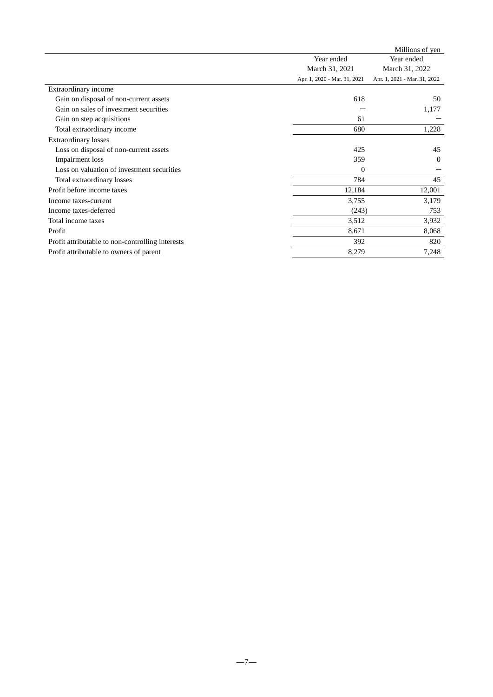|                                                  |                              | Millions of yen              |
|--------------------------------------------------|------------------------------|------------------------------|
|                                                  | Year ended                   | Year ended                   |
|                                                  | March 31, 2021               | March 31, 2022               |
|                                                  | Apr. 1, 2020 - Mar. 31, 2021 | Apr. 1, 2021 - Mar. 31, 2022 |
| Extraordinary income                             |                              |                              |
| Gain on disposal of non-current assets           | 618                          | 50                           |
| Gain on sales of investment securities           |                              | 1,177                        |
| Gain on step acquisitions                        | 61                           |                              |
| Total extraordinary income                       | 680                          | 1,228                        |
| <b>Extraordinary losses</b>                      |                              |                              |
| Loss on disposal of non-current assets           | 425                          | 45                           |
| Impairment loss                                  | 359                          | $\theta$                     |
| Loss on valuation of investment securities       | $\overline{0}$               |                              |
| Total extraordinary losses                       | 784                          | 45                           |
| Profit before income taxes                       | 12,184                       | 12,001                       |
| Income taxes-current                             | 3,755                        | 3,179                        |
| Income taxes-deferred                            | (243)                        | 753                          |
| Total income taxes                               | 3,512                        | 3,932                        |
| Profit                                           | 8,671                        | 8,068                        |
| Profit attributable to non-controlling interests | 392                          | 820                          |
| Profit attributable to owners of parent          | 8,279                        | 7,248                        |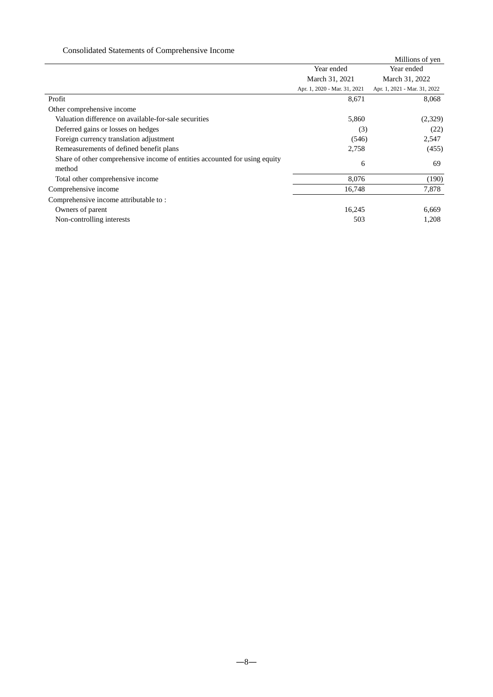# Consolidated Statements of Comprehensive Income

|                                                                                      |                              | Millions of yen              |
|--------------------------------------------------------------------------------------|------------------------------|------------------------------|
|                                                                                      | Year ended                   | Year ended                   |
|                                                                                      | March 31, 2021               | March 31, 2022               |
|                                                                                      | Apr. 1, 2020 - Mar. 31, 2021 | Apr. 1, 2021 - Mar. 31, 2022 |
| Profit                                                                               | 8,671                        | 8,068                        |
| Other comprehensive income                                                           |                              |                              |
| Valuation difference on available-for-sale securities                                | 5,860                        | (2,329)                      |
| Deferred gains or losses on hedges                                                   | (3)                          | (22)                         |
| Foreign currency translation adjustment                                              | (546)                        | 2,547                        |
| Remeasurements of defined benefit plans                                              | 2,758                        | (455)                        |
| Share of other comprehensive income of entities accounted for using equity<br>method | 6                            | 69                           |
| Total other comprehensive income                                                     | 8,076                        | (190)                        |
| Comprehensive income                                                                 | 16,748                       | 7,878                        |
| Comprehensive income attributable to:                                                |                              |                              |
| Owners of parent                                                                     | 16,245                       | 6,669                        |
| Non-controlling interests                                                            | 503                          | 1,208                        |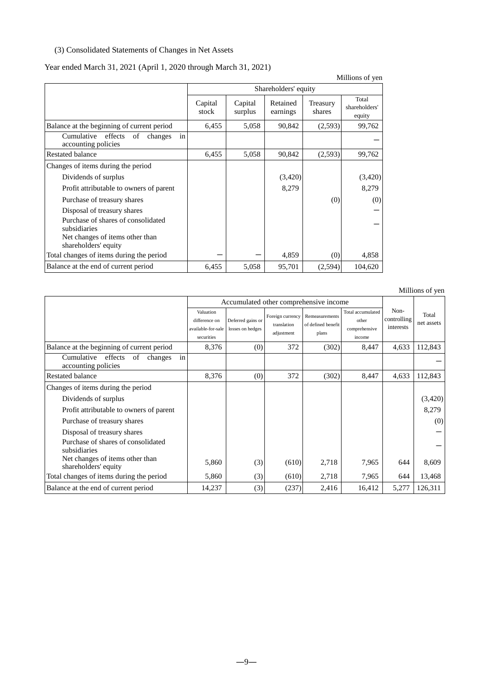# (3) Consolidated Statements of Changes in Net Assets

### Year ended March 31, 2021 (April 1, 2020 through March 31, 2021)

Millions of yen Shareholders' equity Capital stock Capital surplus Retained earnings Treasury shares Total shareholders' equity Balance at the beginning of current period  $\begin{vmatrix} 6,455 & 5,058 & 90,842 & (2,593) \\ 6,645 & 5,058 & 90,842 & (2,593) \end{vmatrix}$  99,762 Cumulative effects of changes in cumulative effects of changes in<br>
accounting policies<br>
ated balance 6,455 5,058 90,842 (2,593) 99,762 Restated balance <br>  $\begin{array}{|c|c|c|c|c|c|c|c|} \hline \end{array}$  6,455 5,058 90,842 (2,593) 99,762 Changes of items during the period Dividends of surplus (3,420) (3,420) (3,420) Profit attributable to owners of parent 8,279 8,279 Purchase of treasury shares and the control of the state of treasury shares (0) (0) (0) Disposal of treasury shares and the control of the control of treasury shares and the control of the control of the control of the control of the control of the control of the control of the control of the control of the c Purchase of shares of consolidated subsidiaries - Net changes of items other than shareholders' equity Total changes of items during the period  $-$  4,859 (0) 4,858 Balance at the end of current period  $\begin{array}{|l|c|c|c|c|c|c|c|c|} \hline 6,455 & 5,058 & 95,701 & (2,594) & 104,620 \hline \end{array}$ 

|                                                                  | Accumulated other comprehensive income                         |                                       |                                               |                                               |                                                       |                                  |                     |
|------------------------------------------------------------------|----------------------------------------------------------------|---------------------------------------|-----------------------------------------------|-----------------------------------------------|-------------------------------------------------------|----------------------------------|---------------------|
|                                                                  | Valuation<br>difference on<br>available-for-sale<br>securities | Deferred gains or<br>losses on hedges | Foreign currency<br>translation<br>adjustment | Remeasurements<br>of defined benefit<br>plans | Total accumulated<br>other<br>comprehensive<br>income | Non-<br>controlling<br>interests | Total<br>net assets |
| Balance at the beginning of current period                       | 8,376                                                          | (0)                                   | 372                                           | (302)                                         | 8,447                                                 | 4,633                            | 112,843             |
| in<br>effects of<br>Cumulative<br>changes<br>accounting policies |                                                                |                                       |                                               |                                               |                                                       |                                  |                     |
| Restated balance                                                 | 8,376                                                          | (0)                                   | 372                                           | (302)                                         | 8,447                                                 | 4,633                            | 112,843             |
| Changes of items during the period                               |                                                                |                                       |                                               |                                               |                                                       |                                  |                     |
| Dividends of surplus                                             |                                                                |                                       |                                               |                                               |                                                       |                                  | (3,420)             |
| Profit attributable to owners of parent                          |                                                                |                                       |                                               |                                               |                                                       |                                  | 8,279               |
| Purchase of treasury shares                                      |                                                                |                                       |                                               |                                               |                                                       |                                  | (0)                 |
| Disposal of treasury shares                                      |                                                                |                                       |                                               |                                               |                                                       |                                  |                     |
| Purchase of shares of consolidated<br>subsidiaries               |                                                                |                                       |                                               |                                               |                                                       |                                  |                     |
| Net changes of items other than<br>shareholders' equity          | 5,860                                                          | (3)                                   | (610)                                         | 2,718                                         | 7,965                                                 | 644                              | 8,609               |
| Total changes of items during the period                         | 5,860                                                          | (3)                                   | (610)                                         | 2,718                                         | 7,965                                                 | 644                              | 13,468              |
| Balance at the end of current period                             | 14,237                                                         | (3)                                   | (237)                                         | 2,416                                         | 16,412                                                | 5,277                            | 126,311             |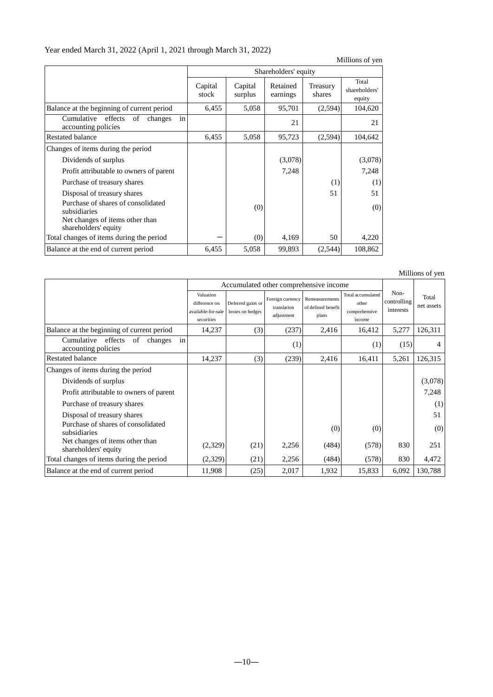# Year ended March 31, 2022 (April 1, 2021 through March 31, 2022)

|                                                                                                               |                  |                    |                      |                    | Millions of yen                  |
|---------------------------------------------------------------------------------------------------------------|------------------|--------------------|----------------------|--------------------|----------------------------------|
|                                                                                                               |                  |                    | Shareholders' equity |                    |                                  |
|                                                                                                               | Capital<br>stock | Capital<br>surplus | Retained<br>earnings | Treasury<br>shares | Total<br>shareholders'<br>equity |
| Balance at the beginning of current period                                                                    | 6,455            | 5,058              | 95,701               | (2,594)            | 104,620                          |
| in<br>Cumulative effects<br>of<br>changes<br>accounting policies                                              |                  |                    | 21                   |                    | 21                               |
| <b>Restated balance</b>                                                                                       | 6,455            | 5,058              | 95,723               | (2,594)            | 104,642                          |
| Changes of items during the period                                                                            |                  |                    |                      |                    |                                  |
| Dividends of surplus                                                                                          |                  |                    | (3,078)              |                    | (3,078)                          |
| Profit attributable to owners of parent                                                                       |                  |                    | 7,248                |                    | 7,248                            |
| Purchase of treasury shares                                                                                   |                  |                    |                      | (1)                | (1)                              |
| Disposal of treasury shares                                                                                   |                  |                    |                      | 51                 | 51                               |
| Purchase of shares of consolidated<br>subsidiaries<br>Net changes of items other than<br>shareholders' equity |                  | (0)                |                      |                    | (0)                              |
| Total changes of items during the period                                                                      |                  | (0)                | 4,169                | 50                 | 4,220                            |
| Balance at the end of current period                                                                          | 6,455            | 5,058              | 99,893               | (2,544)            | 108,862                          |

|                                                                     | Accumulated other comprehensive income                         |                                       |                                               |                                               |                                                       |                                  |                     |
|---------------------------------------------------------------------|----------------------------------------------------------------|---------------------------------------|-----------------------------------------------|-----------------------------------------------|-------------------------------------------------------|----------------------------------|---------------------|
|                                                                     | Valuation<br>difference on<br>available-for-sale<br>securities | Deferred gains or<br>losses on hedges | Foreign currency<br>translation<br>adjustment | Remeasurements<br>of defined benefit<br>plans | Total accumulated<br>other<br>comprehensive<br>income | Non-<br>controlling<br>interests | Total<br>net assets |
| Balance at the beginning of current period                          | 14,237                                                         | (3)                                   | (237)                                         | 2,416                                         | 16,412                                                | 5,277                            | 126,311             |
| in<br>Cumulative<br>effects<br>of<br>changes<br>accounting policies |                                                                |                                       | (1)                                           |                                               | (1)                                                   | (15)                             | 4                   |
| Restated balance                                                    | 14,237                                                         | (3)                                   | (239)                                         | 2,416                                         | 16,411                                                | 5,261                            | 126,315             |
| Changes of items during the period                                  |                                                                |                                       |                                               |                                               |                                                       |                                  |                     |
| Dividends of surplus                                                |                                                                |                                       |                                               |                                               |                                                       |                                  | (3,078)             |
| Profit attributable to owners of parent                             |                                                                |                                       |                                               |                                               |                                                       |                                  | 7,248               |
| Purchase of treasury shares                                         |                                                                |                                       |                                               |                                               |                                                       |                                  | (1)                 |
| Disposal of treasury shares                                         |                                                                |                                       |                                               |                                               |                                                       |                                  | 51                  |
| Purchase of shares of consolidated<br>subsidiaries                  |                                                                |                                       |                                               | (0)                                           | (0)                                                   |                                  | (0)                 |
| Net changes of items other than<br>shareholders' equity             | (2,329)                                                        | (21)                                  | 2,256                                         | (484)                                         | (578)                                                 | 830                              | 251                 |
| Total changes of items during the period                            | (2,329)                                                        | (21)                                  | 2,256                                         | (484)                                         | (578)                                                 | 830                              | 4,472               |
| Balance at the end of current period                                | 11,908                                                         | (25)                                  | 2,017                                         | 1,932                                         | 15,833                                                | 6,092                            | 130,788             |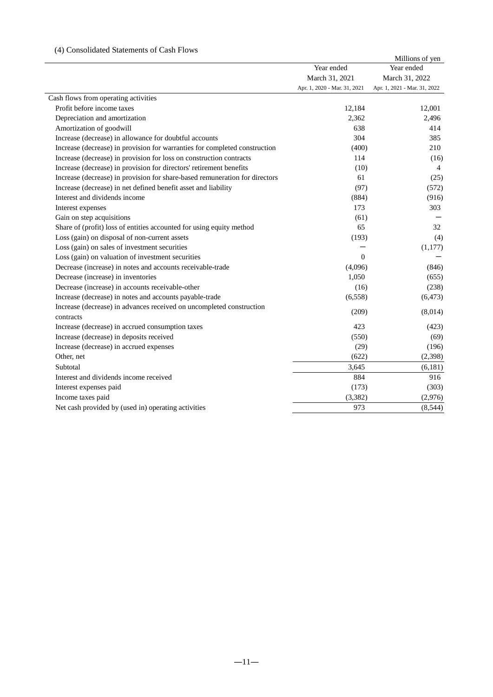# (4) Consolidated Statements of Cash Flows

|                                                                                   |                              | Millions of yen              |
|-----------------------------------------------------------------------------------|------------------------------|------------------------------|
|                                                                                   | Year ended                   | Year ended                   |
|                                                                                   | March 31, 2021               | March 31, 2022               |
|                                                                                   | Apr. 1, 2020 - Mar. 31, 2021 | Apr. 1, 2021 - Mar. 31, 2022 |
| Cash flows from operating activities                                              |                              |                              |
| Profit before income taxes                                                        | 12,184                       | 12,001                       |
| Depreciation and amortization                                                     | 2,362                        | 2,496                        |
| Amortization of goodwill                                                          | 638                          | 414                          |
| Increase (decrease) in allowance for doubtful accounts                            | 304                          | 385                          |
| Increase (decrease) in provision for warranties for completed construction        | (400)                        | 210                          |
| Increase (decrease) in provision for loss on construction contracts               | 114                          | (16)                         |
| Increase (decrease) in provision for directors' retirement benefits               | (10)                         | 4                            |
| Increase (decrease) in provision for share-based remuneration for directors       | 61                           | (25)                         |
| Increase (decrease) in net defined benefit asset and liability                    | (97)                         | (572)                        |
| Interest and dividends income                                                     | (884)                        | (916)                        |
| Interest expenses                                                                 | 173                          | 303                          |
| Gain on step acquisitions                                                         | (61)                         |                              |
| Share of (profit) loss of entities accounted for using equity method              | 65                           | 32                           |
| Loss (gain) on disposal of non-current assets                                     | (193)                        | (4)                          |
| Loss (gain) on sales of investment securities                                     |                              | (1,177)                      |
| Loss (gain) on valuation of investment securities                                 | $\Omega$                     |                              |
| Decrease (increase) in notes and accounts receivable-trade                        | (4,096)                      | (846)                        |
| Decrease (increase) in inventories                                                | 1,050                        | (655)                        |
| Decrease (increase) in accounts receivable-other                                  | (16)                         | (238)                        |
| Increase (decrease) in notes and accounts payable-trade                           | (6, 558)                     | (6, 473)                     |
| Increase (decrease) in advances received on uncompleted construction<br>contracts | (209)                        | (8,014)                      |
| Increase (decrease) in accrued consumption taxes                                  | 423                          | (423)                        |
| Increase (decrease) in deposits received                                          | (550)                        | (69)                         |
| Increase (decrease) in accrued expenses                                           | (29)                         | (196)                        |
| Other, net                                                                        | (622)                        | (2, 398)                     |
| Subtotal                                                                          | 3,645                        | (6, 181)                     |
| Interest and dividends income received                                            | 884                          | 916                          |
|                                                                                   |                              |                              |
| Interest expenses paid                                                            | (173)                        | (303)                        |
| Income taxes paid                                                                 | (3, 382)                     | (2,976)                      |
| Net cash provided by (used in) operating activities                               | 973                          | (8, 544)                     |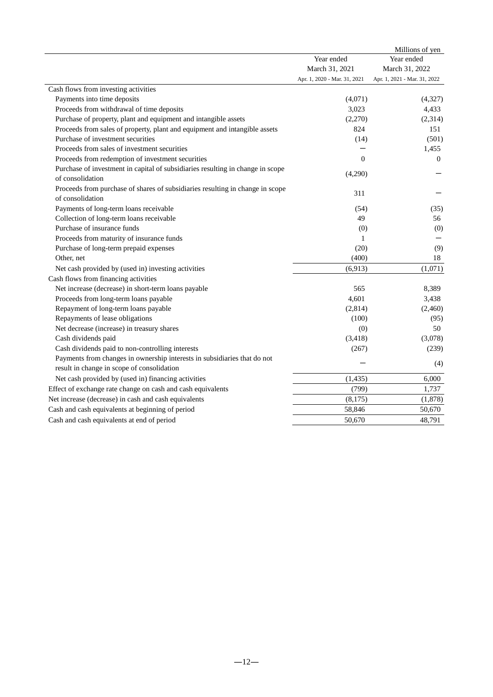|                                                                                                                        |                              | Millions of yen              |
|------------------------------------------------------------------------------------------------------------------------|------------------------------|------------------------------|
|                                                                                                                        | Year ended                   | Year ended                   |
|                                                                                                                        | March 31, 2021               | March 31, 2022               |
|                                                                                                                        | Apr. 1, 2020 - Mar. 31, 2021 | Apr. 1, 2021 - Mar. 31, 2022 |
| Cash flows from investing activities                                                                                   |                              |                              |
| Payments into time deposits                                                                                            | (4,071)                      | (4,327)                      |
| Proceeds from withdrawal of time deposits                                                                              | 3,023                        | 4,433                        |
| Purchase of property, plant and equipment and intangible assets                                                        | (2,270)                      | (2,314)                      |
| Proceeds from sales of property, plant and equipment and intangible assets                                             | 824                          | 151                          |
| Purchase of investment securities                                                                                      | (14)                         | (501)                        |
| Proceeds from sales of investment securities                                                                           |                              | 1,455                        |
| Proceeds from redemption of investment securities                                                                      | $\Omega$                     | $\overline{0}$               |
| Purchase of investment in capital of subsidiaries resulting in change in scope<br>of consolidation                     | (4,290)                      |                              |
| Proceeds from purchase of shares of subsidiaries resulting in change in scope<br>of consolidation                      | 311                          |                              |
| Payments of long-term loans receivable                                                                                 | (54)                         | (35)                         |
| Collection of long-term loans receivable                                                                               | 49                           | 56                           |
| Purchase of insurance funds                                                                                            | (0)                          | (0)                          |
| Proceeds from maturity of insurance funds                                                                              | 1                            |                              |
| Purchase of long-term prepaid expenses                                                                                 | (20)                         | (9)                          |
| Other, net                                                                                                             | (400)                        | 18                           |
| Net cash provided by (used in) investing activities                                                                    | (6,913)                      | (1,071)                      |
| Cash flows from financing activities                                                                                   |                              |                              |
| Net increase (decrease) in short-term loans payable                                                                    | 565                          | 8,389                        |
| Proceeds from long-term loans payable                                                                                  | 4,601                        | 3,438                        |
| Repayment of long-term loans payable                                                                                   | (2,814)                      | (2,460)                      |
| Repayments of lease obligations                                                                                        | (100)                        | (95)                         |
| Net decrease (increase) in treasury shares                                                                             | (0)                          | 50                           |
| Cash dividends paid                                                                                                    | (3,418)                      | (3,078)                      |
| Cash dividends paid to non-controlling interests                                                                       | (267)                        | (239)                        |
| Payments from changes in ownership interests in subsidiaries that do not<br>result in change in scope of consolidation |                              | (4)                          |
| Net cash provided by (used in) financing activities                                                                    | (1, 435)                     | 6,000                        |
| Effect of exchange rate change on cash and cash equivalents                                                            | (799)                        | 1,737                        |
| Net increase (decrease) in cash and cash equivalents                                                                   |                              |                              |
|                                                                                                                        | (8,175)<br>58,846            | (1,878)<br>50,670            |
| Cash and cash equivalents at beginning of period                                                                       |                              |                              |
| Cash and cash equivalents at end of period                                                                             | 50,670                       | 48,791                       |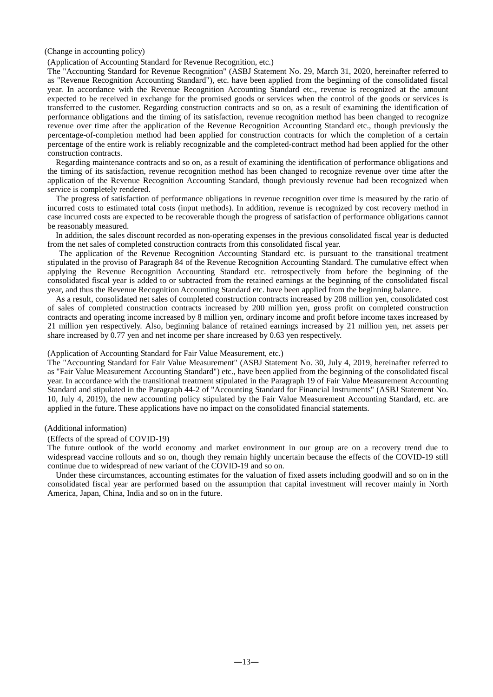#### (Change in accounting policy)

### (Application of Accounting Standard for Revenue Recognition, etc.)

The "Accounting Standard for Revenue Recognition" (ASBJ Statement No. 29, March 31, 2020, hereinafter referred to as "Revenue Recognition Accounting Standard"), etc. have been applied from the beginning of the consolidated fiscal year. In accordance with the Revenue Recognition Accounting Standard etc., revenue is recognized at the amount expected to be received in exchange for the promised goods or services when the control of the goods or services is transferred to the customer. Regarding construction contracts and so on, as a result of examining the identification of performance obligations and the timing of its satisfaction, revenue recognition method has been changed to recognize revenue over time after the application of the Revenue Recognition Accounting Standard etc., though previously the percentage-of-completion method had been applied for construction contracts for which the completion of a certain percentage of the entire work is reliably recognizable and the completed-contract method had been applied for the other construction contracts.

Regarding maintenance contracts and so on, as a result of examining the identification of performance obligations and the timing of its satisfaction, revenue recognition method has been changed to recognize revenue over time after the application of the Revenue Recognition Accounting Standard, though previously revenue had been recognized when service is completely rendered.

The progress of satisfaction of performance obligations in revenue recognition over time is measured by the ratio of incurred costs to estimated total costs (input methods). In addition, revenue is recognized by cost recovery method in case incurred costs are expected to be recoverable though the progress of satisfaction of performance obligations cannot be reasonably measured.

In addition, the sales discount recorded as non-operating expenses in the previous consolidated fiscal year is deducted from the net sales of completed construction contracts from this consolidated fiscal year.

The application of the Revenue Recognition Accounting Standard etc. is pursuant to the transitional treatment stipulated in the proviso of Paragraph 84 of the Revenue Recognition Accounting Standard. The cumulative effect when applying the Revenue Recognition Accounting Standard etc. retrospectively from before the beginning of the consolidated fiscal year is added to or subtracted from the retained earnings at the beginning of the consolidated fiscal year, and thus the Revenue Recognition Accounting Standard etc. have been applied from the beginning balance.

As a result, consolidated net sales of completed construction contracts increased by 208 million yen, consolidated cost of sales of completed construction contracts increased by 200 million yen, gross profit on completed construction contracts and operating income increased by 8 million yen, ordinary income and profit before income taxes increased by 21 million yen respectively. Also, beginning balance of retained earnings increased by 21 million yen, net assets per share increased by 0.77 yen and net income per share increased by 0.63 yen respectively.

#### (Application of Accounting Standard for Fair Value Measurement, etc.)

The "Accounting Standard for Fair Value Measurement" (ASBJ Statement No. 30, July 4, 2019, hereinafter referred to as "Fair Value Measurement Accounting Standard") etc., have been applied from the beginning of the consolidated fiscal year. In accordance with the transitional treatment stipulated in the Paragraph 19 of Fair Value Measurement Accounting Standard and stipulated in the Paragraph 44-2 of "Accounting Standard for Financial Instruments" (ASBJ Statement No. 10, July 4, 2019), the new accounting policy stipulated by the Fair Value Measurement Accounting Standard, etc. are applied in the future. These applications have no impact on the consolidated financial statements.

### (Additional information)

#### (Effects of the spread of COVID-19)

The future outlook of the world economy and market environment in our group are on a recovery trend due to widespread vaccine rollouts and so on, though they remain highly uncertain because the effects of the COVID-19 still continue due to widespread of new variant of the COVID-19 and so on.

Under these circumstances, accounting estimates for the valuation of fixed assets including goodwill and so on in the consolidated fiscal year are performed based on the assumption that capital investment will recover mainly in North America, Japan, China, India and so on in the future.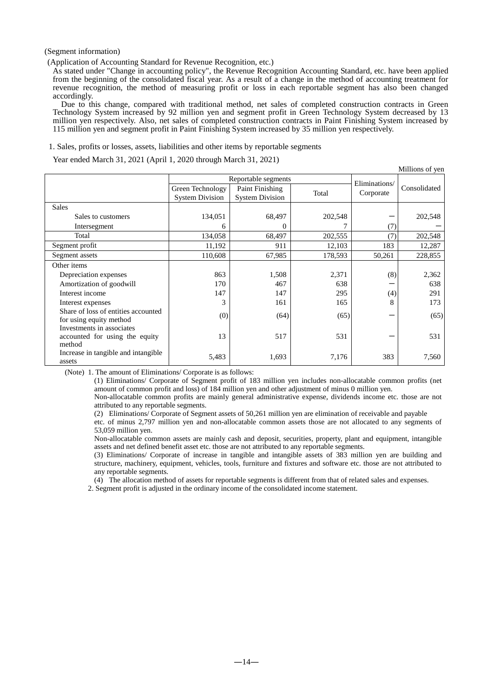(Segment information)

(Application of Accounting Standard for Revenue Recognition, etc.)

As stated under "Change in accounting policy", the Revenue Recognition Accounting Standard, etc. have been applied from the beginning of the consolidated fiscal year. As a result of a change in the method of accounting treatment for revenue recognition, the method of measuring profit or loss in each reportable segment has also been changed accordingly.

Due to this change, compared with traditional method, net sales of completed construction contracts in Green Technology System increased by 92 million yen and segment profit in Green Technology System decreased by 13 million yen respectively. Also, net sales of completed construction contracts in Paint Finishing System increased by 115 million yen and segment profit in Paint Finishing System increased by 35 million yen respectively.

1. Sales, profits or losses, assets, liabilities and other items by reportable segments

Year ended March 31, 2021 (April 1, 2020 through March 31, 2021)

|                                                                       |                                            |                                           |         |               | Millions of yen |
|-----------------------------------------------------------------------|--------------------------------------------|-------------------------------------------|---------|---------------|-----------------|
|                                                                       |                                            | Reportable segments                       |         | Eliminations/ |                 |
|                                                                       | Green Technology<br><b>System Division</b> | Paint Finishing<br><b>System Division</b> | Total   | Corporate     | Consolidated    |
| <b>Sales</b>                                                          |                                            |                                           |         |               |                 |
| Sales to customers                                                    | 134,051                                    | 68,497                                    | 202,548 |               | 202,548         |
| Intersegment                                                          | 6                                          | 0                                         |         | (7)           |                 |
| Total                                                                 | 134,058                                    | 68,497                                    | 202,555 | (7)           | 202,548         |
| Segment profit                                                        | 11,192                                     | 911                                       | 12,103  | 183           | 12,287          |
| Segment assets                                                        | 110,608                                    | 67,985                                    | 178,593 | 50,261        | 228,855         |
| Other items                                                           |                                            |                                           |         |               |                 |
| Depreciation expenses                                                 | 863                                        | 1,508                                     | 2,371   | (8)           | 2,362           |
| Amortization of goodwill                                              | 170                                        | 467                                       | 638     |               | 638             |
| Interest income                                                       | 147                                        | 147                                       | 295     | (4)           | 291             |
| Interest expenses                                                     | 3                                          | 161                                       | 165     | 8             | 173             |
| Share of loss of entities accounted<br>for using equity method        | (0)                                        | (64)                                      | (65)    |               | (65)            |
| Investments in associates<br>accounted for using the equity<br>method | 13                                         | 517                                       | 531     |               | 531             |
| Increase in tangible and intangible<br>assets                         | 5,483                                      | 1,693                                     | 7,176   | 383           | 7,560           |

(Note) 1. The amount of Eliminations/ Corporate is as follows:

(1) Eliminations/ Corporate of Segment profit of 183 million yen includes non-allocatable common profits (net amount of common profit and loss) of 184 million yen and other adjustment of minus 0 million yen.

Non-allocatable common profits are mainly general administrative expense, dividends income etc. those are not attributed to any reportable segments.

(2) Eliminations/ Corporate of Segment assets of 50,261 million yen are elimination of receivable and payable

etc. of minus 2,797 million yen and non-allocatable common assets those are not allocated to any segments of 53,059 million yen.

Non-allocatable common assets are mainly cash and deposit, securities, property, plant and equipment, intangible assets and net defined benefit asset etc. those are not attributed to any reportable segments.

(3) Eliminations/ Corporate of increase in tangible and intangible assets of 383 million yen are building and structure, machinery, equipment, vehicles, tools, furniture and fixtures and software etc. those are not attributed to any reportable segments.

(4) The allocation method of assets for reportable segments is different from that of related sales and expenses.

2. Segment profit is adjusted in the ordinary income of the consolidated income statement.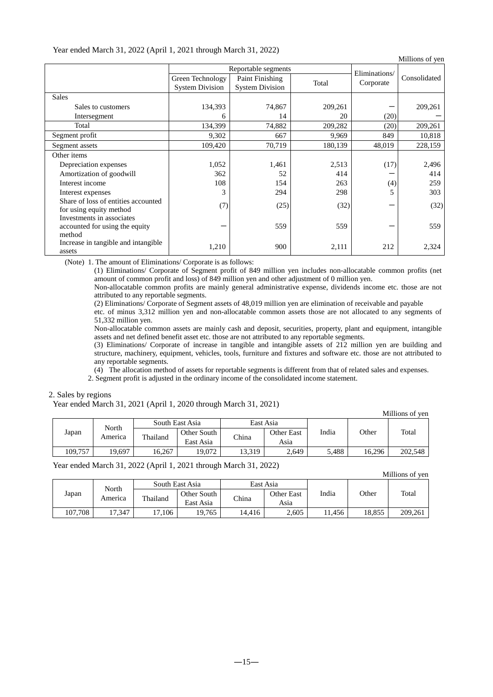| Year ended March 31, 2022 (April 1, 2021 through March 31, 2022) |  |
|------------------------------------------------------------------|--|
|------------------------------------------------------------------|--|

| Millions of yen                                      |                        |                        |         |               |              |  |  |  |
|------------------------------------------------------|------------------------|------------------------|---------|---------------|--------------|--|--|--|
|                                                      |                        | Reportable segments    |         | Eliminations/ |              |  |  |  |
|                                                      | Green Technology       | Paint Finishing        | Total   | Corporate     | Consolidated |  |  |  |
|                                                      | <b>System Division</b> | <b>System Division</b> |         |               |              |  |  |  |
| <b>Sales</b>                                         |                        |                        |         |               |              |  |  |  |
| Sales to customers                                   | 134,393                | 74,867                 | 209,261 |               | 209,261      |  |  |  |
| Intersegment                                         | 6                      | 14                     | 20      | (20)          |              |  |  |  |
| Total                                                | 134,399                | 74,882                 | 209,282 | (20)          | 209,261      |  |  |  |
| Segment profit                                       | 9,302                  | 667                    | 9,969   | 849           | 10,818       |  |  |  |
| Segment assets                                       | 109,420                | 70,719                 | 180,139 | 48,019        | 228,159      |  |  |  |
| Other items                                          |                        |                        |         |               |              |  |  |  |
| Depreciation expenses                                | 1,052                  | 1,461                  | 2,513   | (17)          | 2,496        |  |  |  |
| Amortization of goodwill                             | 362                    | 52                     | 414     |               | 414          |  |  |  |
| Interest income                                      | 108                    | 154                    | 263     | (4)           | 259          |  |  |  |
| Interest expenses                                    | 3                      | 294                    | 298     | 5             | 303          |  |  |  |
| Share of loss of entities accounted                  | (7)                    | (25)                   | (32)    |               | (32)         |  |  |  |
| for using equity method<br>Investments in associates |                        |                        |         |               |              |  |  |  |
| accounted for using the equity                       |                        | 559                    | 559     |               | 559          |  |  |  |
| method                                               |                        |                        |         |               |              |  |  |  |
| Increase in tangible and intangible                  |                        |                        |         |               |              |  |  |  |
| assets                                               | 1,210                  | 900                    | 2,111   | 212           | 2,324        |  |  |  |

(Note) 1. The amount of Eliminations/ Corporate is as follows:

(1) Eliminations/ Corporate of Segment profit of 849 million yen includes non-allocatable common profits (net amount of common profit and loss) of 849 million yen and other adjustment of 0 million yen.

Non-allocatable common profits are mainly general administrative expense, dividends income etc. those are not attributed to any reportable segments.

(2) Eliminations/ Corporate of Segment assets of 48,019 million yen are elimination of receivable and payable

etc. of minus 3,312 million yen and non-allocatable common assets those are not allocated to any segments of 51,332 million yen.

Non-allocatable common assets are mainly cash and deposit, securities, property, plant and equipment, intangible assets and net defined benefit asset etc. those are not attributed to any reportable segments.

(3) Eliminations/ Corporate of increase in tangible and intangible assets of 212 million yen are building and structure, machinery, equipment, vehicles, tools, furniture and fixtures and software etc. those are not attributed to any reportable segments.

(4) The allocation method of assets for reportable segments is different from that of related sales and expenses.

2. Segment profit is adjusted in the ordinary income of the consolidated income statement.

### 2. Sales by regions

Year ended March 31, 2021 (April 1, 2020 through March 31, 2021)

| Millions of yen |                         |                 |        |            |       |       |        |         |  |
|-----------------|-------------------------|-----------------|--------|------------|-------|-------|--------|---------|--|
| North<br>Japan  |                         | South East Asia |        | East Asia  |       |       | Other  | Total   |  |
|                 | Other South<br>Thailand |                 | China  | Other East | India |       |        |         |  |
|                 | America                 | East Asia       |        | Asia       |       |       |        |         |  |
| 109.757         | 19.697                  | 16.267          | 19.072 | 13.319     | 2,649 | 5.488 | 16.296 | 202,548 |  |

Year ended March 31, 2022 (April 1, 2021 through March 31, 2022)

|         |                  |                 |                                   |                   |       |        |        | Millions of yen |
|---------|------------------|-----------------|-----------------------------------|-------------------|-------|--------|--------|-----------------|
| Japan   | North<br>America | South East Asia |                                   | East Asia         |       |        |        |                 |
|         |                  | Thailand        | Other South<br>China<br>East Asia | <b>Other East</b> | India | Other  | Total  |                 |
|         |                  |                 |                                   |                   | Asia  |        |        |                 |
| 107.708 | 17.347           | 17.106          | 19.765                            | 14.416            | 2,605 | 11.456 | 18.855 | 209,261         |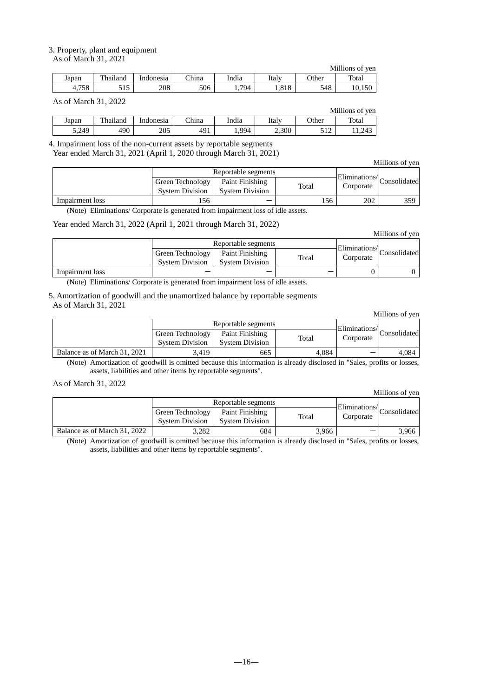#### 3. Property, plant and equipment As of March 31, 2021

|            |                         |           |       |       |       |              | Millions of ven |
|------------|-------------------------|-----------|-------|-------|-------|--------------|-----------------|
| Japan      | `hailand<br><b>TIME</b> | Indonesia | China | India | Italv | <b>Other</b> | Total           |
| 750<br>790 | <u>JIJ</u>              | 208       | 506   | 794   | 1.818 | 548          | 10,150          |

|       |          |           |       |       |       |            | Millions of ven |
|-------|----------|-----------|-------|-------|-------|------------|-----------------|
| Japan | Thailand | Indonesia | China | India | Italv | Other      | Total           |
| 5.249 | 490      | 205       | 491   | .994  | 2,300 | 510<br>ے د | 11.243          |

4. Impairment loss of the non-current assets by reportable segments Year ended March 31, 2021 (April 1, 2020 through March 31, 2021)

|                 |                        |                        |       |     |               | Millions of yen |
|-----------------|------------------------|------------------------|-------|-----|---------------|-----------------|
|                 |                        | Reportable segments    |       |     | Eliminations/ |                 |
|                 | Green Technology       | Paint Finishing        | Total |     | Corporate     | Consolidated    |
|                 | <b>System Division</b> | <b>System Division</b> |       |     |               |                 |
| Impairment loss | 56ء                    |                        |       | 156 | 202           | 359.            |

(Note) Eliminations/ Corporate is generated from impairment loss of idle assets.

Year ended March 31, 2022 (April 1, 2021 through March 31, 2022)

|                 |                        |                        |       |                                       | Millions of yen |
|-----------------|------------------------|------------------------|-------|---------------------------------------|-----------------|
|                 |                        | Reportable segments    |       |                                       |                 |
|                 | Green Technology       | Paint Finishing        | Total | Eliminations/Consolidate<br>Corporate |                 |
|                 | <b>System Division</b> | <b>System Division</b> |       |                                       |                 |
| Impairment loss |                        |                        |       |                                       |                 |

(Note) Eliminations/ Corporate is generated from impairment loss of idle assets.

5. Amortization of goodwill and the unamortized balance by reportable segments As of March 31, 2021

|                              |                        |                        |       |                | Millions of yen |
|------------------------------|------------------------|------------------------|-------|----------------|-----------------|
|                              |                        | Reportable segments    |       | -Eliminations/ |                 |
|                              | Green Technology       | Paint Finishing        | Total | Corporate      | Consolidated    |
|                              | <b>System Division</b> | <b>System Division</b> |       |                |                 |
| Balance as of March 31, 2021 | 3.419                  | 665                    | 4.084 |                | 4.084           |

(Note) Amortization of goodwill is omitted because this information is already disclosed in "Sales, profits or losses, assets, liabilities and other items by reportable segments".

As of March 31, 2022

|                              |                        |                        |       |                                       | Millions of yen |
|------------------------------|------------------------|------------------------|-------|---------------------------------------|-----------------|
|                              |                        | Reportable segments    |       |                                       |                 |
|                              | Green Technology       | Paint Finishing        | Total | Eliminations/Consolidate<br>Corporate |                 |
|                              | <b>System Division</b> | <b>System Division</b> |       |                                       |                 |
| Balance as of March 31, 2022 | 3,282                  | 684                    | 3.966 |                                       | 3.966           |

(Note) Amortization of goodwill is omitted because this information is already disclosed in "Sales, profits or losses, assets, liabilities and other items by reportable segments".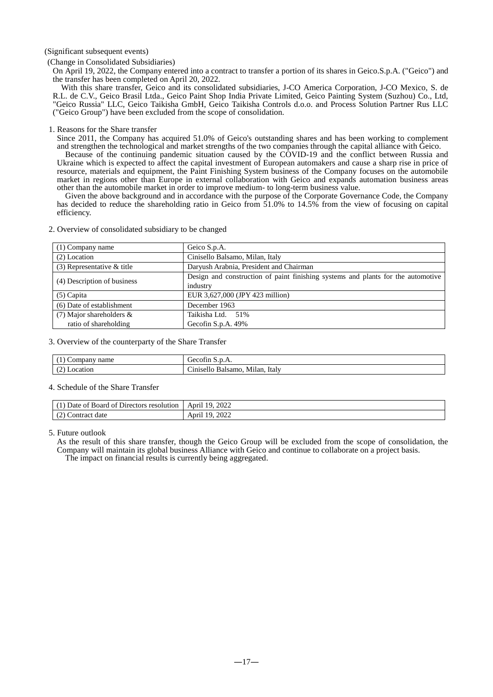#### (Significant subsequent events)

(Change in Consolidated Subsidiaries)

On April 19, 2022, the Company entered into a contract to transfer a portion of its shares in Geico.S.p.A. ("Geico") and the transfer has been completed on April 20, 2022.

With this share transfer, Geico and its consolidated subsidiaries, J-CO America Corporation, J-CO Mexico, S. de R.L. de C.V., Geico Brasil Ltda., Geico Paint Shop India Private Limited, Geico Painting System (Suzhou) Co., Ltd, "Geico Russia" LLC, Geico Taikisha GmbH, Geico Taikisha Controls d.o.o. and Process Solution Partner Rus LLC ("Geico Group") have been excluded from the scope of consolidation.

1. Reasons for the Share transfer

Since 2011, the Company has acquired 51.0% of Geico's outstanding shares and has been working to complement and strengthen the technological and market strengths of the two companies through the capital alliance with Geico.

Because of the continuing pandemic situation caused by the COVID-19 and the conflict between Russia and Ukraine which is expected to affect the capital investment of European automakers and cause a sharp rise in price of resource, materials and equipment, the Paint Finishing System business of the Company focuses on the automobile market in regions other than Europe in external collaboration with Geico and expands automation business areas other than the automobile market in order to improve medium- to long-term business value.

Given the above background and in accordance with the purpose of the Corporate Governance Code, the Company has decided to reduce the shareholding ratio in Geico from  $\overline{51.0\%}$  to 14.5% from the view of focusing on capital efficiency.

| $(1)$ Company name           | Geico S.p.A.                                                                     |
|------------------------------|----------------------------------------------------------------------------------|
| (2) Location                 | Cinisello Balsamo, Milan, Italy                                                  |
| $(3)$ Representative & title | Daryush Arabnia, President and Chairman                                          |
| (4) Description of business  | Design and construction of paint finishing systems and plants for the automotive |
|                              | industry                                                                         |
| $(5)$ Capita                 | EUR 3,627,000 (JPY 423 million)                                                  |
| (6) Date of establishment    | December 1963                                                                    |
| $(7)$ Major shareholders &   | Taikisha Ltd. 51%                                                                |
| ratio of shareholding        | Gecofin S.p.A. 49%                                                               |
|                              |                                                                                  |

2. Overview of consolidated subsidiary to be changed

3. Overview of the counterparty of the Share Transfer

| name            | $\overline{\phantom{0}}$                              |
|-----------------|-------------------------------------------------------|
| Company         | Gecofin S.p.A.                                        |
| Location<br>. . | $\sim$<br>ltalv<br>Milar<br>Balsamo<br>'inisello<br>. |

#### 4. Schedule of the Share Transfer

| $\sim$ $\sim$ $\sim$<br>Directors<br>Date of<br>Board<br>resolution<br>. ot | 2022<br>1 Q<br>April         |
|-----------------------------------------------------------------------------|------------------------------|
| : date<br>Contract<br>. <u>. .</u>                                          | 2022<br>$\mathbf{u}$<br>ADIT |

5. Future outlook

As the result of this share transfer, though the Geico Group will be excluded from the scope of consolidation, the Company will maintain its global business Alliance with Geico and continue to collaborate on a project basis. The impact on financial results is currently being aggregated.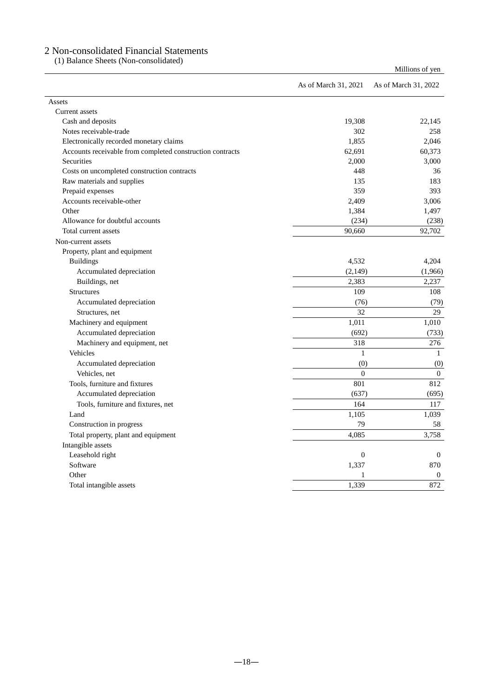# 2 Non-consolidated Financial Statements

(1) Balance Sheets (Non-consolidated)

|                                                           | As of March 31, 2021 | As of March 31, 2022 |
|-----------------------------------------------------------|----------------------|----------------------|
| Assets                                                    |                      |                      |
| Current assets                                            |                      |                      |
| Cash and deposits                                         | 19,308               | 22,145               |
| Notes receivable-trade                                    | 302                  | 258                  |
| Electronically recorded monetary claims                   | 1,855                | 2.046                |
| Accounts receivable from completed construction contracts | 62,691               | 60,373               |
| Securities                                                | 2,000                | 3,000                |
| Costs on uncompleted construction contracts               | 448                  | 36                   |
| Raw materials and supplies                                | 135                  | 183                  |
| Prepaid expenses                                          | 359                  | 393                  |
| Accounts receivable-other                                 | 2,409                | 3,006                |
| Other                                                     | 1,384                | 1,497                |
| Allowance for doubtful accounts                           | (234)                | (238)                |
| Total current assets                                      | 90,660               | 92,702               |
| Non-current assets                                        |                      |                      |
| Property, plant and equipment                             |                      |                      |
| <b>Buildings</b>                                          | 4,532                | 4,204                |
| Accumulated depreciation                                  | (2,149)              | (1,966)              |
| Buildings, net                                            | 2,383                | 2,237                |
| Structures                                                | 109                  | 108                  |
| Accumulated depreciation                                  | (76)                 | (79)                 |
| Structures, net                                           | 32                   | 29                   |
| Machinery and equipment                                   | 1,011                | 1,010                |
| Accumulated depreciation                                  | (692)                | (733)                |
| Machinery and equipment, net                              | 318                  | 276                  |
| Vehicles                                                  | $\mathbf{1}$         | $\mathbf{1}$         |
| Accumulated depreciation                                  | (0)                  | (0)                  |
| Vehicles, net                                             | $\overline{0}$       | $\overline{0}$       |
| Tools, furniture and fixtures                             | 801                  | 812                  |
| Accumulated depreciation                                  | (637)                | (695)                |
| Tools, furniture and fixtures, net                        | 164                  | 117                  |
| Land                                                      | 1,105                | 1,039                |
| Construction in progress                                  | 79                   | 58                   |
| Total property, plant and equipment                       | 4,085                | 3,758                |
| Intangible assets                                         |                      |                      |
| Leasehold right                                           | $\boldsymbol{0}$     | $\theta$             |
| Software                                                  | 1,337                | 870                  |
| Other                                                     | 1                    | $\theta$             |
| Total intangible assets                                   | 1,339                | 872                  |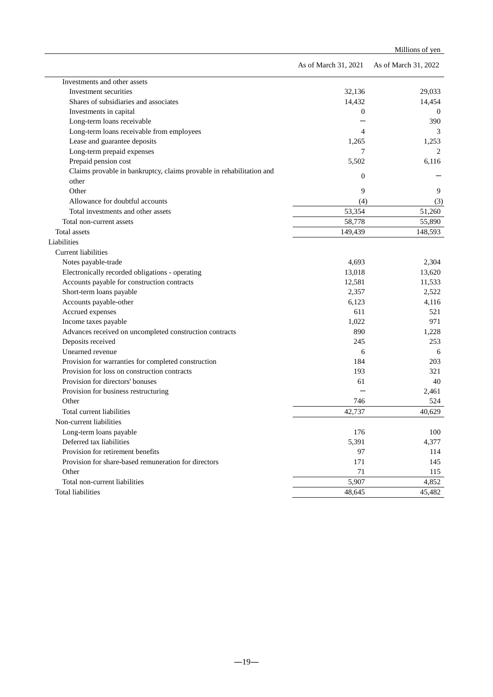|                                                                      |                      | Millions of yen      |
|----------------------------------------------------------------------|----------------------|----------------------|
|                                                                      | As of March 31, 2021 | As of March 31, 2022 |
| Investments and other assets                                         |                      |                      |
| Investment securities                                                | 32.136               | 29,033               |
| Shares of subsidiaries and associates                                | 14,432               | 14,454               |
| Investments in capital                                               | $\mathbf{0}$         | $\bf{0}$             |
| Long-term loans receivable                                           |                      | 390                  |
| Long-term loans receivable from employees                            | 4                    | 3                    |
| Lease and guarantee deposits                                         | 1,265                | 1,253                |
| Long-term prepaid expenses                                           | 7                    | 2                    |
| Prepaid pension cost                                                 | 5,502                | 6,116                |
| Claims provable in bankruptcy, claims provable in rehabilitation and | $\mathbf{0}$         |                      |
| other                                                                |                      |                      |
| Other                                                                | 9                    | 9                    |
| Allowance for doubtful accounts                                      | (4)                  | (3)                  |
| Total investments and other assets                                   | 53,354               | 51,260               |
| Total non-current assets                                             | 58,778               | 55,890               |
| Total assets                                                         | 149,439              | 148,593              |
| Liabilities                                                          |                      |                      |
| Current liabilities                                                  |                      |                      |
| Notes payable-trade                                                  | 4,693                | 2,304                |
| Electronically recorded obligations - operating                      | 13,018               | 13,620               |
| Accounts payable for construction contracts                          | 12,581               | 11,533               |
| Short-term loans payable                                             | 2,357                | 2,522                |
| Accounts payable-other                                               | 6,123                | 4,116                |
| Accrued expenses                                                     | 611                  | 521                  |
| Income taxes payable                                                 | 1,022                | 971                  |
| Advances received on uncompleted construction contracts              | 890                  | 1,228                |
| Deposits received                                                    | 245                  | 253                  |
| Unearned revenue                                                     | 6                    | 6                    |
| Provision for warranties for completed construction                  | 184                  | 203                  |
| Provision for loss on construction contracts                         | 193                  | 321                  |
| Provision for directors' bonuses                                     | 61                   | 40                   |
| Provision for business restructuring                                 |                      | 2,461                |
| Other                                                                | 746                  | 524                  |
| Total current liabilities                                            | 42.737               | 40,629               |
| Non-current liabilities                                              |                      |                      |
| Long-term loans payable                                              | 176                  | 100                  |
| Deferred tax liabilities                                             | 5,391                | 4,377                |
| Provision for retirement benefits                                    | 97                   | 114                  |
| Provision for share-based remuneration for directors                 | 171                  | 145                  |
| Other                                                                | 71                   | 115                  |
| Total non-current liabilities                                        | 5,907                | 4,852                |
| <b>Total liabilities</b>                                             | 48,645               | 45,482               |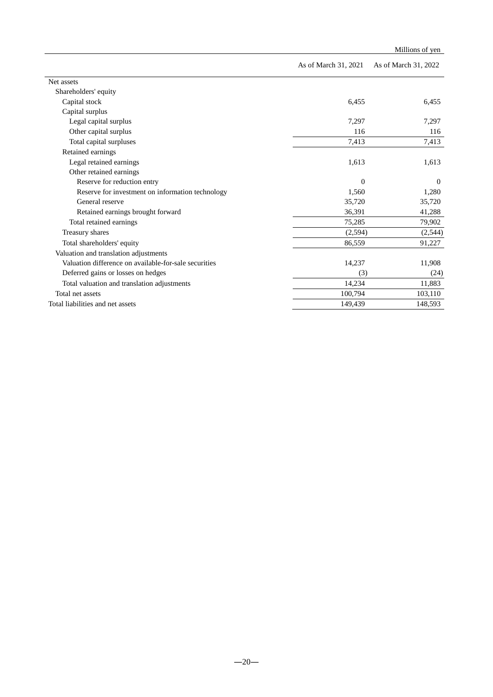|                                                       |                      | Millions of yen      |
|-------------------------------------------------------|----------------------|----------------------|
|                                                       | As of March 31, 2021 | As of March 31, 2022 |
| Net assets                                            |                      |                      |
| Shareholders' equity                                  |                      |                      |
| Capital stock                                         | 6,455                | 6,455                |
| Capital surplus                                       |                      |                      |
| Legal capital surplus                                 | 7,297                | 7,297                |
| Other capital surplus                                 | 116                  | 116                  |
| Total capital surpluses                               | 7,413                | 7,413                |
| Retained earnings                                     |                      |                      |
| Legal retained earnings                               | 1,613                | 1,613                |
| Other retained earnings                               |                      |                      |
| Reserve for reduction entry                           | $\Omega$             | $\theta$             |
| Reserve for investment on information technology      | 1,560                | 1,280                |
| General reserve                                       | 35,720               | 35,720               |
| Retained earnings brought forward                     | 36,391               | 41,288               |
| Total retained earnings                               | 75,285               | 79,902               |
| Treasury shares                                       | (2,594)              | (2,544)              |
| Total shareholders' equity                            | 86,559               | 91,227               |
| Valuation and translation adjustments                 |                      |                      |
| Valuation difference on available-for-sale securities | 14,237               | 11,908               |
| Deferred gains or losses on hedges                    | (3)                  | (24)                 |
| Total valuation and translation adjustments           | 14,234               | 11,883               |
| Total net assets                                      | 100,794              | 103,110              |
| Total liabilities and net assets                      | 149,439              | 148,593              |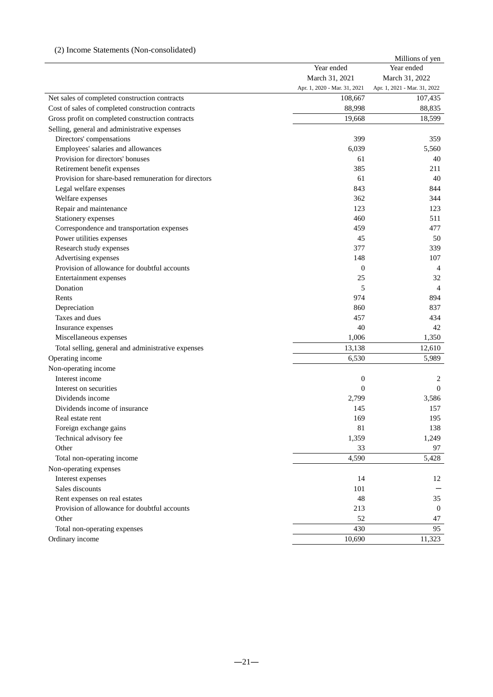# (2) Income Statements (Non-consolidated)

|                                                      |                              | Millions of yen              |
|------------------------------------------------------|------------------------------|------------------------------|
|                                                      | Year ended                   | Year ended                   |
|                                                      | March 31, 2021               | March 31, 2022               |
|                                                      | Apr. 1, 2020 - Mar. 31, 2021 | Apr. 1, 2021 - Mar. 31, 2022 |
| Net sales of completed construction contracts        | 108,667                      | 107,435                      |
| Cost of sales of completed construction contracts    | 88,998                       | 88,835                       |
| Gross profit on completed construction contracts     | 19,668                       | 18,599                       |
| Selling, general and administrative expenses         |                              |                              |
| Directors' compensations                             | 399                          | 359                          |
| Employees' salaries and allowances                   | 6,039                        | 5,560                        |
| Provision for directors' bonuses                     | 61                           | 40                           |
| Retirement benefit expenses                          | 385                          | 211                          |
| Provision for share-based remuneration for directors | 61                           | 40                           |
| Legal welfare expenses                               | 843                          | 844                          |
| Welfare expenses                                     | 362                          | 344                          |
| Repair and maintenance                               | 123                          | 123                          |
| Stationery expenses                                  | 460                          | 511                          |
| Correspondence and transportation expenses           | 459                          | 477                          |
| Power utilities expenses                             | 45                           | 50                           |
| Research study expenses                              | 377                          | 339                          |
| Advertising expenses                                 | 148                          | 107                          |
| Provision of allowance for doubtful accounts         | $\boldsymbol{0}$             | $\overline{4}$               |
| Entertainment expenses                               | 25                           | 32                           |
| Donation                                             | 5                            | $\overline{4}$               |
| Rents                                                | 974                          | 894                          |
| Depreciation                                         | 860                          | 837                          |
| Taxes and dues                                       | 457                          | 434                          |
| Insurance expenses                                   | 40                           | 42                           |
| Miscellaneous expenses                               | 1,006                        | 1,350                        |
| Total selling, general and administrative expenses   | 13,138                       | 12,610                       |
| Operating income                                     | 6,530                        | 5,989                        |
| Non-operating income                                 |                              |                              |
| Interest income                                      | $\boldsymbol{0}$             | 2                            |
| Interest on securities<br>Dividends income           | $\overline{0}$               | $\mathbf{0}$                 |
| Dividends income of insurance                        | 2,799                        | 3,586<br>157                 |
| Real estate rent                                     | 145<br>169                   | 195                          |
| Foreign exchange gains                               | 81                           | 138                          |
| Technical advisory fee                               | 1,359                        | 1,249                        |
| Other                                                | 33                           | 97                           |
| Total non-operating income                           | 4,590                        | 5,428                        |
| Non-operating expenses                               |                              |                              |
| Interest expenses                                    | 14                           | 12                           |
| Sales discounts                                      | 101                          |                              |
| Rent expenses on real estates                        | 48                           | 35                           |
| Provision of allowance for doubtful accounts         | 213                          | $\boldsymbol{0}$             |
| Other                                                | 52                           | 47                           |
| Total non-operating expenses                         | 430                          | 95                           |
| Ordinary income                                      | 10,690                       | 11,323                       |
|                                                      |                              |                              |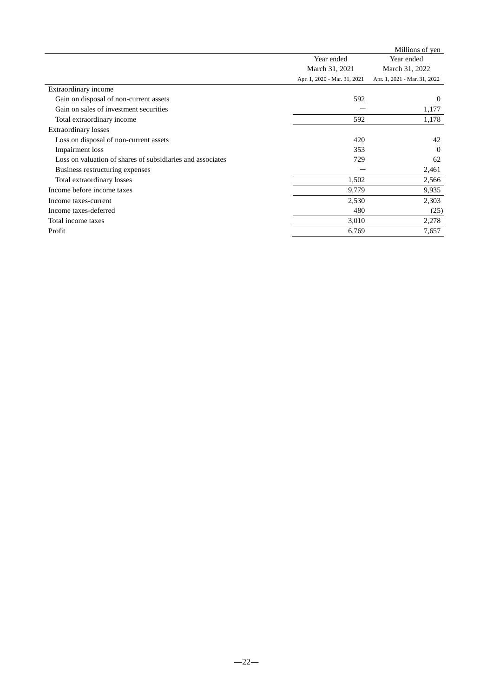|                                                            |                              | Millions of yen              |
|------------------------------------------------------------|------------------------------|------------------------------|
|                                                            | Year ended                   | Year ended                   |
|                                                            | March 31, 2021               | March 31, 2022               |
|                                                            | Apr. 1, 2020 - Mar. 31, 2021 | Apr. 1, 2021 - Mar. 31, 2022 |
| Extraordinary income                                       |                              |                              |
| Gain on disposal of non-current assets                     | 592                          | $\theta$                     |
| Gain on sales of investment securities                     |                              | 1,177                        |
| Total extraordinary income                                 | 592                          | 1,178                        |
| <b>Extraordinary losses</b>                                |                              |                              |
| Loss on disposal of non-current assets                     | 420                          | 42                           |
| Impairment loss                                            | 353                          | $\Omega$                     |
| Loss on valuation of shares of subsidiaries and associates | 729                          | 62                           |
| Business restructuring expenses                            |                              | 2,461                        |
| Total extraordinary losses                                 | 1,502                        | 2,566                        |
| Income before income taxes                                 | 9,779                        | 9,935                        |
| Income taxes-current                                       | 2,530                        | 2,303                        |
| Income taxes-deferred                                      | 480                          | (25)                         |
| Total income taxes                                         | 3,010                        | 2,278                        |
| Profit                                                     | 6,769                        | 7,657                        |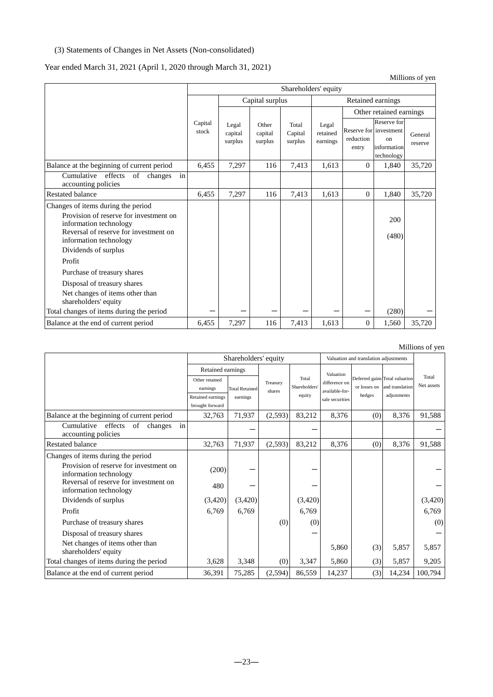### (3) Statements of Changes in Net Assets (Non-consolidated)

# Year ended March 31, 2021 (April 1, 2020 through March 31, 2021)

Shareholders' equity Capital stock Capital surplus and all retained earnings Legal capital surplus Other capital surplus Total Capital surplus Legal retained earnings Other retained earnings Reserve for reduction entry Reserve for investment on information technology General reserve Balance at the beginning of current period  $\begin{vmatrix} 6,455 & 7,297 \\ 116 & 7,413 & 1,613 \end{vmatrix}$  0 1,840 35,720 Cumulative effects of changes in accounting policies Restated balance 19 1,840 1 2,5720 16,455 1,613 1,613 1,613 1,613 1,614 1,613 1,614 1,613 1,613 1,613 1,613 1,613 1,613 1,613 1,613 1,613 1,613 1,613 1,613 1,613 1,613 1,613 1,613 1,613 1,613 1,613 1,613 1,613 1,613 1,613 Changes of items during the period Provision of reserve for investment on Frovision of reserve for investment on<br>information technology 200 Reversal of reserve for investment on have start of the control of the control of the control of the control of the control of the control of the control of the control of the control of the control of the control of the control of the control of the control o Dividends of surplus Profit Purchase of treasury shares Disposal of treasury shares Net changes of items other than shareholders' equity Total changes of items during the period - - - - - - (280) - Balance at the end of current period 6,455 7,297 116 7,413 1,613 0 1,560 35,720

#### Millions of yen

|                                                                     |                                      | Shareholders' equity  |                    | Valuation and translation adjustments |                                 |              |                                                   |                     |
|---------------------------------------------------------------------|--------------------------------------|-----------------------|--------------------|---------------------------------------|---------------------------------|--------------|---------------------------------------------------|---------------------|
|                                                                     |                                      | Retained earnings     |                    |                                       | Valuation                       |              |                                                   |                     |
|                                                                     | Other retained<br>earnings           | <b>Total Retained</b> | Treasury<br>shares | Total<br>Shareholders                 | difference on<br>available-for- | or losses on | Deferred gains Total valuation<br>and translation | Total<br>Net assets |
|                                                                     | Retained earnings<br>brought forward | earnings              |                    | equity                                | sale securities                 | hedges       | adjustments                                       |                     |
| Balance at the beginning of current period                          | 32,763                               | 71,937                | (2, 593)           | 83,212                                | 8,376                           | (0)          | 8,376                                             | 91,588              |
| Cumulative<br>effects<br>of<br>in<br>changes<br>accounting policies |                                      |                       |                    |                                       |                                 |              |                                                   |                     |
| Restated balance                                                    | 32,763                               | 71,937                | (2,593)            | 83,212                                | 8,376                           | (0)          | 8,376                                             | 91,588              |
| Changes of items during the period                                  |                                      |                       |                    |                                       |                                 |              |                                                   |                     |
| Provision of reserve for investment on<br>information technology    | (200)                                |                       |                    |                                       |                                 |              |                                                   |                     |
| Reversal of reserve for investment on<br>information technology     | 480                                  |                       |                    |                                       |                                 |              |                                                   |                     |
| Dividends of surplus                                                | (3,420)                              | (3,420)               |                    | (3,420)                               |                                 |              |                                                   | (3,420)             |
| Profit                                                              | 6,769                                | 6,769                 |                    | 6,769                                 |                                 |              |                                                   | 6,769               |
| Purchase of treasury shares                                         |                                      |                       | (0)                | (0)                                   |                                 |              |                                                   | (0)                 |
| Disposal of treasury shares                                         |                                      |                       |                    |                                       |                                 |              |                                                   |                     |
| Net changes of items other than<br>shareholders' equity             |                                      |                       |                    |                                       | 5,860                           | (3)          | 5,857                                             | 5,857               |
| Total changes of items during the period                            | 3,628                                | 3,348                 | (0)                | 3,347                                 | 5,860                           | (3)          | 5,857                                             | 9,205               |
| Balance at the end of current period                                | 36,391                               | 75,285                | (2, 594)           | 86,559                                | 14,237                          | (3)          | 14,234                                            | 100,794             |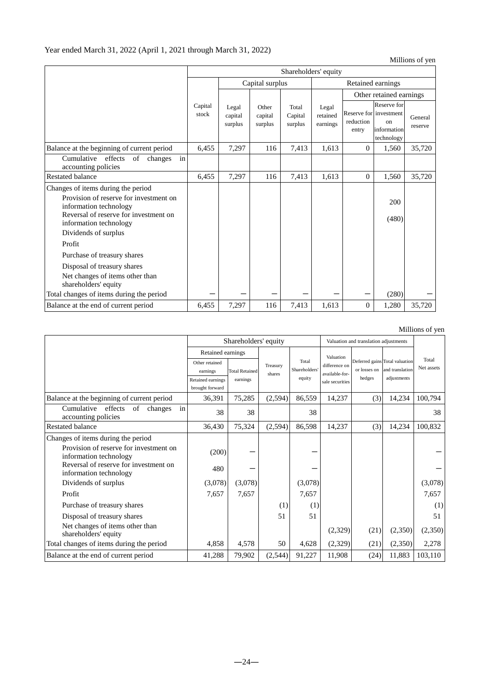Millions of yen

|                                                                                                                                                                                                                                                                                                                                      | Shareholders' equity |                             |                             |                             |                               |                         |                                                                          |                    |  |  |  |
|--------------------------------------------------------------------------------------------------------------------------------------------------------------------------------------------------------------------------------------------------------------------------------------------------------------------------------------|----------------------|-----------------------------|-----------------------------|-----------------------------|-------------------------------|-------------------------|--------------------------------------------------------------------------|--------------------|--|--|--|
|                                                                                                                                                                                                                                                                                                                                      |                      |                             | Capital surplus             | Retained earnings           |                               |                         |                                                                          |                    |  |  |  |
|                                                                                                                                                                                                                                                                                                                                      |                      |                             |                             |                             |                               | Other retained earnings |                                                                          |                    |  |  |  |
|                                                                                                                                                                                                                                                                                                                                      | Capital<br>stock     | Legal<br>capital<br>surplus | Other<br>capital<br>surplus | Total<br>Capital<br>surplus | Legal<br>retained<br>earnings | reduction<br>entry      | Reserve for<br>Reserve for investment<br>on<br>information<br>technology | General<br>reserve |  |  |  |
| Balance at the beginning of current period                                                                                                                                                                                                                                                                                           | 6,455                | 7,297                       | 116                         | 7,413                       | 1,613                         | $\Omega$                | 1,560                                                                    | 35,720             |  |  |  |
| in<br>Cumulative<br>effects<br>of<br>changes<br>accounting policies                                                                                                                                                                                                                                                                  |                      |                             |                             |                             |                               |                         |                                                                          |                    |  |  |  |
| <b>Restated balance</b>                                                                                                                                                                                                                                                                                                              | 6,455                | 7,297                       | 116                         | 7,413                       | 1,613                         | $\mathbf{0}$            | 1,560                                                                    | 35,720             |  |  |  |
| Changes of items during the period<br>Provision of reserve for investment on<br>information technology<br>Reversal of reserve for investment on<br>information technology<br>Dividends of surplus<br>Profit<br>Purchase of treasury shares<br>Disposal of treasury shares<br>Net changes of items other than<br>shareholders' equity |                      |                             |                             |                             |                               |                         | 200<br>(480)                                                             |                    |  |  |  |
| Total changes of items during the period                                                                                                                                                                                                                                                                                             |                      |                             |                             |                             |                               |                         | (280)                                                                    |                    |  |  |  |
| Balance at the end of current period                                                                                                                                                                                                                                                                                                 | 6,455                | 7,297                       | 116                         | 7,413                       | 1,613                         | $\theta$                | 1,280                                                                    | 35,720             |  |  |  |

|                                                                     |                   |                       |                                    |                                       |                                |              |                 | ************************* |
|---------------------------------------------------------------------|-------------------|-----------------------|------------------------------------|---------------------------------------|--------------------------------|--------------|-----------------|---------------------------|
|                                                                     |                   | Shareholders' equity  |                                    | Valuation and translation adjustments |                                |              |                 |                           |
|                                                                     | Retained earnings |                       |                                    |                                       | Valuation                      |              |                 |                           |
|                                                                     | Other retained    |                       | Total<br>difference on<br>Treasury |                                       | Deferred gains Total valuation | Total        |                 |                           |
|                                                                     | earnings          | <b>Total Retained</b> | shares                             | Shareholders                          | available-for-                 | or losses on | and translation | Net assets                |
|                                                                     | Retained earnings | earnings              |                                    | equity                                | sale securities                | hedges       | adjustments     |                           |
|                                                                     | brought forward   |                       |                                    |                                       |                                |              |                 |                           |
| Balance at the beginning of current period                          | 36,391            | 75,285                | (2,594)                            | 86,559                                | 14,237                         | (3)          | 14,234          | 100,794                   |
| in<br>Cumulative<br>effects<br>of<br>changes<br>accounting policies | 38                | 38                    |                                    | 38                                    |                                |              |                 | 38                        |
| <b>Restated balance</b>                                             | 36,430            | 75,324                | (2,594)                            | 86,598                                | 14,237                         | (3)          | 14,234          | 100,832                   |
| Changes of items during the period                                  |                   |                       |                                    |                                       |                                |              |                 |                           |
| Provision of reserve for investment on<br>information technology    | (200)             |                       |                                    |                                       |                                |              |                 |                           |
| Reversal of reserve for investment on<br>information technology     | 480               |                       |                                    |                                       |                                |              |                 |                           |
| Dividends of surplus                                                | (3,078)           | (3,078)               |                                    | (3,078)                               |                                |              |                 | (3,078)                   |
| Profit                                                              | 7,657             | 7,657                 |                                    | 7,657                                 |                                |              |                 | 7,657                     |
| Purchase of treasury shares                                         |                   |                       | (1)                                | (1)                                   |                                |              |                 | (1)                       |
| Disposal of treasury shares                                         |                   |                       | 51                                 | 51                                    |                                |              |                 | 51                        |
| Net changes of items other than<br>shareholders' equity             |                   |                       |                                    |                                       | (2,329)                        | (21)         | (2,350)         | (2,350)                   |
| Total changes of items during the period                            | 4,858             | 4,578                 | 50                                 | 4,628                                 | (2,329)                        | (21)         | (2,350)         | 2,278                     |
| Balance at the end of current period                                | 41,288            | 79,902                | (2,544)                            | 91,227                                | 11,908                         | (24)         | 11,883          | 103,110                   |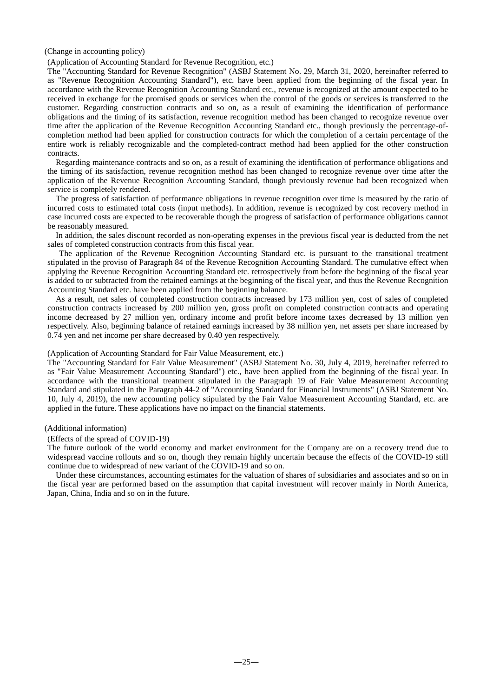#### (Change in accounting policy)

#### (Application of Accounting Standard for Revenue Recognition, etc.)

The "Accounting Standard for Revenue Recognition" (ASBJ Statement No. 29, March 31, 2020, hereinafter referred to as "Revenue Recognition Accounting Standard"), etc. have been applied from the beginning of the fiscal year. In accordance with the Revenue Recognition Accounting Standard etc., revenue is recognized at the amount expected to be received in exchange for the promised goods or services when the control of the goods or services is transferred to the customer. Regarding construction contracts and so on, as a result of examining the identification of performance obligations and the timing of its satisfaction, revenue recognition method has been changed to recognize revenue over time after the application of the Revenue Recognition Accounting Standard etc., though previously the percentage-ofcompletion method had been applied for construction contracts for which the completion of a certain percentage of the entire work is reliably recognizable and the completed-contract method had been applied for the other construction contracts.

Regarding maintenance contracts and so on, as a result of examining the identification of performance obligations and the timing of its satisfaction, revenue recognition method has been changed to recognize revenue over time after the application of the Revenue Recognition Accounting Standard, though previously revenue had been recognized when service is completely rendered.

The progress of satisfaction of performance obligations in revenue recognition over time is measured by the ratio of incurred costs to estimated total costs (input methods). In addition, revenue is recognized by cost recovery method in case incurred costs are expected to be recoverable though the progress of satisfaction of performance obligations cannot be reasonably measured.

In addition, the sales discount recorded as non-operating expenses in the previous fiscal year is deducted from the net sales of completed construction contracts from this fiscal year.

The application of the Revenue Recognition Accounting Standard etc. is pursuant to the transitional treatment stipulated in the proviso of Paragraph 84 of the Revenue Recognition Accounting Standard. The cumulative effect when applying the Revenue Recognition Accounting Standard etc. retrospectively from before the beginning of the fiscal year is added to or subtracted from the retained earnings at the beginning of the fiscal year, and thus the Revenue Recognition Accounting Standard etc. have been applied from the beginning balance.

As a result, net sales of completed construction contracts increased by 173 million yen, cost of sales of completed construction contracts increased by 200 million yen, gross profit on completed construction contracts and operating income decreased by 27 million yen, ordinary income and profit before income taxes decreased by 13 million yen respectively. Also, beginning balance of retained earnings increased by 38 million yen, net assets per share increased by 0.74 yen and net income per share decreased by 0.40 yen respectively.

#### (Application of Accounting Standard for Fair Value Measurement, etc.)

The "Accounting Standard for Fair Value Measurement" (ASBJ Statement No. 30, July 4, 2019, hereinafter referred to as "Fair Value Measurement Accounting Standard") etc., have been applied from the beginning of the fiscal year. In accordance with the transitional treatment stipulated in the Paragraph 19 of Fair Value Measurement Accounting Standard and stipulated in the Paragraph 44-2 of "Accounting Standard for Financial Instruments" (ASBJ Statement No. 10, July 4, 2019), the new accounting policy stipulated by the Fair Value Measurement Accounting Standard, etc. are applied in the future. These applications have no impact on the financial statements.

(Additional information)

#### (Effects of the spread of COVID-19)

The future outlook of the world economy and market environment for the Company are on a recovery trend due to widespread vaccine rollouts and so on, though they remain highly uncertain because the effects of the COVID-19 still continue due to widespread of new variant of the COVID-19 and so on.

Under these circumstances, accounting estimates for the valuation of shares of subsidiaries and associates and so on in the fiscal year are performed based on the assumption that capital investment will recover mainly in North America, Japan, China, India and so on in the future.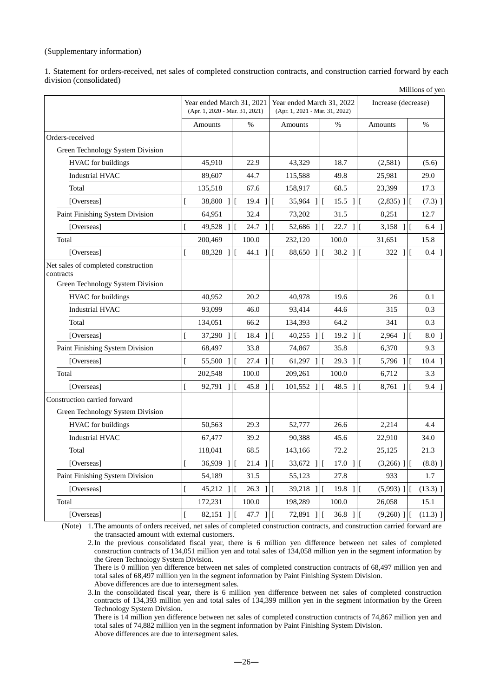### (Supplementary information)

1. Statement for orders-received, net sales of completed construction contracts, and construction carried forward by each division (consolidated) Millions of yen

|                                                                                      | Year ended March 31, 2021<br>(Apr. 1, 2020 - Mar. 31, 2021) |               | Year ended March 31, 2022<br>(Apr. 1, 2021 - Mar. 31, 2022) |  |                        | <b>MILITORS</b> OF YOU<br>Increase (decrease) |                     |              |                              |
|--------------------------------------------------------------------------------------|-------------------------------------------------------------|---------------|-------------------------------------------------------------|--|------------------------|-----------------------------------------------|---------------------|--------------|------------------------------|
|                                                                                      | Amounts                                                     |               | $\%$                                                        |  | Amounts                | $\%$                                          |                     | Amounts      | $\%$                         |
| Orders-received                                                                      |                                                             |               |                                                             |  |                        |                                               |                     |              |                              |
| Green Technology System Division                                                     |                                                             |               |                                                             |  |                        |                                               |                     |              |                              |
| <b>HVAC</b> for buildings                                                            | 45,910                                                      |               | 22.9                                                        |  | 43,329                 | 18.7                                          |                     | (2,581)      | (5.6)                        |
| <b>Industrial HVAC</b>                                                               | 89,607                                                      |               | 44.7                                                        |  | 115,588                | 49.8                                          |                     | 25,981       | 29.0                         |
| Total                                                                                | 135,518                                                     |               | 67.6                                                        |  | 158,917                | 68.5                                          |                     | 23,399       | 17.3                         |
| [Overseas]                                                                           | 38,800                                                      |               | $19.4$ 11                                                   |  | 35,964 ]               | $15.5$ 1                                      |                     | $(2,835)$ ][ | $(7.3)$ ]                    |
| Paint Finishing System Division                                                      | 64,951                                                      |               | 32.4                                                        |  | 73,202                 | 31.5                                          |                     | 8,251        | 12.7                         |
| [Overseas]                                                                           | 49,528                                                      | $\frac{1}{1}$ | $24.7$                                                      |  | 52,686                 | $22.7$ ]                                      |                     | $3,158$ ]    | $6.4 \text{ }$               |
| Total                                                                                | 200,469                                                     |               | 100.0                                                       |  | 232,120                | 100.0                                         |                     | 31,651       | 15.8                         |
| [Overseas]                                                                           | 88,328 ]<br>ſ                                               |               | 44.1 11                                                     |  | 88,650<br>$\mathbf{1}$ | 38.2 ]                                        | $\overline{1}$      | $322$ ]      | $0.4 \; 1$<br>$\overline{1}$ |
| Net sales of completed construction<br>contracts<br>Green Technology System Division |                                                             |               |                                                             |  |                        |                                               |                     |              |                              |
| <b>HVAC</b> for buildings                                                            | 40,952                                                      |               | 20.2                                                        |  | 40,978                 | 19.6                                          |                     | 26           | 0.1                          |
| <b>Industrial HVAC</b>                                                               | 93,099                                                      |               | 46.0                                                        |  | 93,414                 | 44.6                                          |                     | 315          | 0.3                          |
| Total                                                                                | 134,051                                                     |               | 66.2                                                        |  | 134,393                | 64.2                                          |                     | 341          | 0.3                          |
| [Overseas]                                                                           | 37,290                                                      | 11            | $18.4$ 1                                                    |  | 40,255<br>1            | 19.2                                          | 1<br>$\overline{1}$ | 2,964<br>Ш   | $8.0$ 1                      |
| Paint Finishing System Division                                                      | 68,497                                                      |               | 33.8                                                        |  | 74,867                 | 35.8                                          |                     | 6,370        | 9.3                          |
| [Overseas]                                                                           | 55,500 ]                                                    |               | $27.4$ ]                                                    |  | 61,297                 | 29.3 ]<br>$1\vert$ [                          | l [                 | $5,796$ ]    | $10.4$ ]                     |
| Total                                                                                | 202,548                                                     |               | 100.0                                                       |  | 209,261                | 100.0                                         |                     | 6,712        | 3.3                          |
| [Overseas]                                                                           | 92,791<br>ſ                                                 |               | $45.8$                                                      |  | 101,552                | 48.5                                          | 1                   | $8,761$      | 9.4 ]                        |
| Construction carried forward                                                         |                                                             |               |                                                             |  |                        |                                               |                     |              |                              |
| Green Technology System Division                                                     |                                                             |               |                                                             |  |                        |                                               |                     |              |                              |
| HVAC for buildings                                                                   | 50,563                                                      |               | 29.3                                                        |  | 52,777                 | 26.6                                          |                     | 2,214        | 4.4                          |
| <b>Industrial HVAC</b>                                                               | 67,477                                                      |               | 39.2                                                        |  | 90,388                 | 45.6                                          |                     | 22,910       | 34.0                         |
| Total                                                                                | 118,041                                                     |               | 68.5                                                        |  | 143,166                | 72.2                                          |                     | 25,125       | 21.3                         |
| [Overseas]                                                                           | $36,939$                                                    |               | $21.4$ ]                                                    |  | 33,672<br>11           | 17.0                                          | 1<br>$\overline{1}$ | $(3,266)$ ]  | $(8.8)$ ]                    |
| Paint Finishing System Division                                                      | 54,189                                                      |               | 31.5                                                        |  | 55,123                 | 27.8                                          |                     | 933          | 1.7                          |
| [Overseas]                                                                           | 45,212                                                      | $\Box$        | $26.3$ ]                                                    |  | 39,218<br>1            | $19.8$ ]                                      |                     | $(5,993)$ ][ | $(13.3)$ ]                   |
| Total                                                                                | 172,231                                                     |               | 100.0                                                       |  | 198,289                | 100.0                                         |                     | 26,058       | 15.1                         |
| [Overseas]                                                                           | 82,151<br>ſ                                                 | $\mathbf{1}$  | 47.7 ]<br>I                                                 |  | 72,891                 | $36.8$ ]                                      |                     | $(9,260)$ ]  | $(11.3)$ ]                   |

(Note) 1. The amounts of orders received, net sales of completed construction contracts, and construction carried forward are the transacted amount with external customers.

2.In the previous consolidated fiscal year, there is 6 million yen difference between net sales of completed construction contracts of 134,051 million yen and total sales of 134,058 million yen in the segment information by the Green Technology System Division.

There is 0 million yen difference between net sales of completed construction contracts of 68,497 million yen and total sales of 68,497 million yen in the segment information by Paint Finishing System Division.

Above differences are due to intersegment sales.

3.In the consolidated fiscal year, there is 6 million yen difference between net sales of completed construction contracts of 134,393 million yen and total sales of 134,399 million yen in the segment information by the Green Technology System Division.

There is 14 million yen difference between net sales of completed construction contracts of 74,867 million yen and total sales of 74,882 million yen in the segment information by Paint Finishing System Division. Above differences are due to intersegment sales.